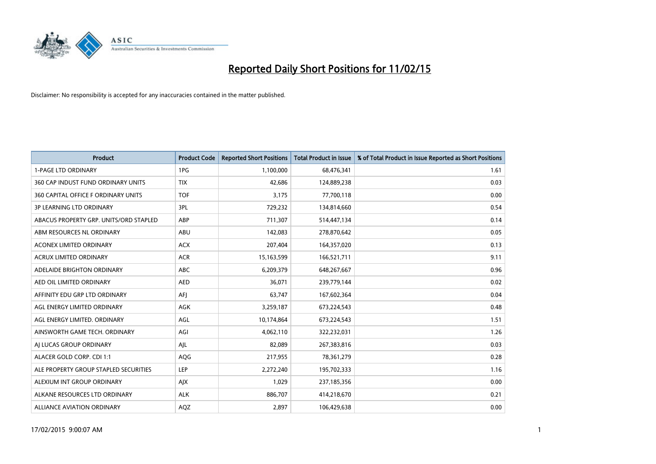

| <b>Product</b>                         | <b>Product Code</b> | <b>Reported Short Positions</b> | <b>Total Product in Issue</b> | % of Total Product in Issue Reported as Short Positions |
|----------------------------------------|---------------------|---------------------------------|-------------------------------|---------------------------------------------------------|
| <b>1-PAGE LTD ORDINARY</b>             | 1PG                 | 1,100,000                       | 68,476,341                    | 1.61                                                    |
| 360 CAP INDUST FUND ORDINARY UNITS     | <b>TIX</b>          | 42,686                          | 124,889,238                   | 0.03                                                    |
| 360 CAPITAL OFFICE F ORDINARY UNITS    | <b>TOF</b>          | 3,175                           | 77,700,118                    | 0.00                                                    |
| <b>3P LEARNING LTD ORDINARY</b>        | 3PL                 | 729,232                         | 134,814,660                   | 0.54                                                    |
| ABACUS PROPERTY GRP. UNITS/ORD STAPLED | ABP                 | 711,307                         | 514,447,134                   | 0.14                                                    |
| ABM RESOURCES NL ORDINARY              | ABU                 | 142,083                         | 278,870,642                   | 0.05                                                    |
| <b>ACONEX LIMITED ORDINARY</b>         | <b>ACX</b>          | 207,404                         | 164,357,020                   | 0.13                                                    |
| ACRUX LIMITED ORDINARY                 | <b>ACR</b>          | 15,163,599                      | 166,521,711                   | 9.11                                                    |
| ADELAIDE BRIGHTON ORDINARY             | <b>ABC</b>          | 6,209,379                       | 648,267,667                   | 0.96                                                    |
| AED OIL LIMITED ORDINARY               | <b>AED</b>          | 36,071                          | 239,779,144                   | 0.02                                                    |
| AFFINITY EDU GRP LTD ORDINARY          | AFI                 | 63,747                          | 167,602,364                   | 0.04                                                    |
| AGL ENERGY LIMITED ORDINARY            | <b>AGK</b>          | 3,259,187                       | 673,224,543                   | 0.48                                                    |
| AGL ENERGY LIMITED. ORDINARY           | AGL                 | 10,174,864                      | 673,224,543                   | 1.51                                                    |
| AINSWORTH GAME TECH. ORDINARY          | AGI                 | 4,062,110                       | 322,232,031                   | 1.26                                                    |
| AI LUCAS GROUP ORDINARY                | AJL                 | 82,089                          | 267,383,816                   | 0.03                                                    |
| ALACER GOLD CORP. CDI 1:1              | AQG                 | 217,955                         | 78,361,279                    | 0.28                                                    |
| ALE PROPERTY GROUP STAPLED SECURITIES  | LEP                 | 2,272,240                       | 195,702,333                   | 1.16                                                    |
| ALEXIUM INT GROUP ORDINARY             | AJX                 | 1,029                           | 237,185,356                   | 0.00                                                    |
| ALKANE RESOURCES LTD ORDINARY          | <b>ALK</b>          | 886,707                         | 414,218,670                   | 0.21                                                    |
| ALLIANCE AVIATION ORDINARY             | AQZ                 | 2,897                           | 106,429,638                   | 0.00                                                    |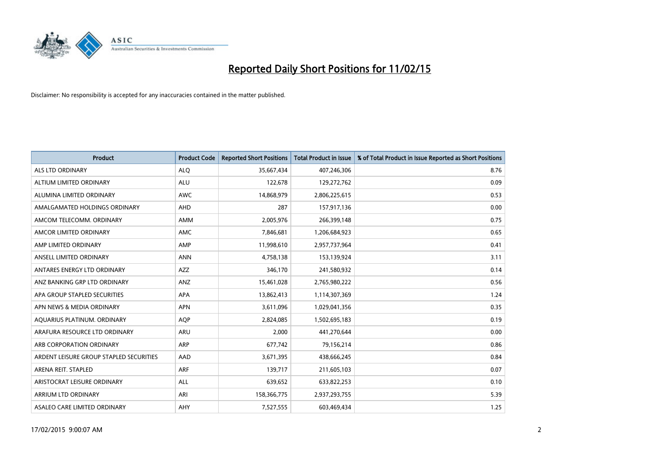

| <b>Product</b>                          | <b>Product Code</b> | <b>Reported Short Positions</b> | <b>Total Product in Issue</b> | % of Total Product in Issue Reported as Short Positions |
|-----------------------------------------|---------------------|---------------------------------|-------------------------------|---------------------------------------------------------|
| ALS LTD ORDINARY                        | <b>ALQ</b>          | 35,667,434                      | 407,246,306                   | 8.76                                                    |
| ALTIUM LIMITED ORDINARY                 | <b>ALU</b>          | 122,678                         | 129,272,762                   | 0.09                                                    |
| ALUMINA LIMITED ORDINARY                | <b>AWC</b>          | 14,868,979                      | 2,806,225,615                 | 0.53                                                    |
| AMALGAMATED HOLDINGS ORDINARY           | <b>AHD</b>          | 287                             | 157,917,136                   | 0.00                                                    |
| AMCOM TELECOMM, ORDINARY                | <b>AMM</b>          | 2,005,976                       | 266,399,148                   | 0.75                                                    |
| AMCOR LIMITED ORDINARY                  | <b>AMC</b>          | 7,846,681                       | 1,206,684,923                 | 0.65                                                    |
| AMP LIMITED ORDINARY                    | AMP                 | 11,998,610                      | 2,957,737,964                 | 0.41                                                    |
| ANSELL LIMITED ORDINARY                 | <b>ANN</b>          | 4,758,138                       | 153,139,924                   | 3.11                                                    |
| ANTARES ENERGY LTD ORDINARY             | <b>AZZ</b>          | 346,170                         | 241,580,932                   | 0.14                                                    |
| ANZ BANKING GRP LTD ORDINARY            | ANZ                 | 15,461,028                      | 2,765,980,222                 | 0.56                                                    |
| APA GROUP STAPLED SECURITIES            | APA                 | 13,862,413                      | 1,114,307,369                 | 1.24                                                    |
| APN NEWS & MEDIA ORDINARY               | <b>APN</b>          | 3,611,096                       | 1,029,041,356                 | 0.35                                                    |
| AQUARIUS PLATINUM. ORDINARY             | <b>AOP</b>          | 2,824,085                       | 1,502,695,183                 | 0.19                                                    |
| ARAFURA RESOURCE LTD ORDINARY           | ARU                 | 2,000                           | 441,270,644                   | 0.00                                                    |
| ARB CORPORATION ORDINARY                | <b>ARP</b>          | 677,742                         | 79,156,214                    | 0.86                                                    |
| ARDENT LEISURE GROUP STAPLED SECURITIES | AAD                 | 3,671,395                       | 438,666,245                   | 0.84                                                    |
| ARENA REIT. STAPLED                     | ARF                 | 139,717                         | 211,605,103                   | 0.07                                                    |
| ARISTOCRAT LEISURE ORDINARY             | <b>ALL</b>          | 639,652                         | 633,822,253                   | 0.10                                                    |
| ARRIUM LTD ORDINARY                     | ARI                 | 158,366,775                     | 2,937,293,755                 | 5.39                                                    |
| ASALEO CARE LIMITED ORDINARY            | AHY                 | 7,527,555                       | 603,469,434                   | 1.25                                                    |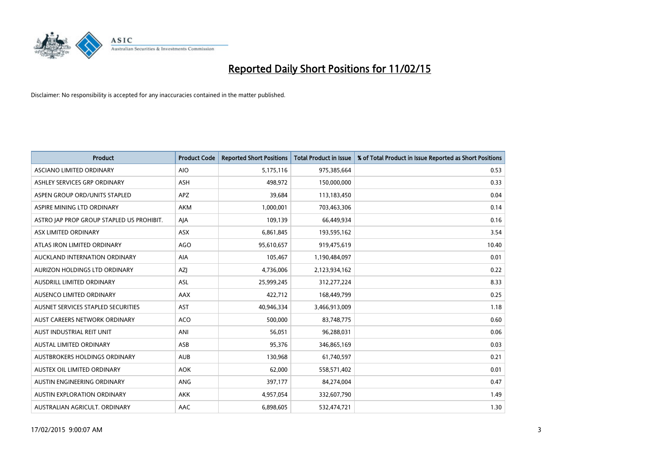

| <b>Product</b>                            | <b>Product Code</b> | <b>Reported Short Positions</b> | <b>Total Product in Issue</b> | % of Total Product in Issue Reported as Short Positions |
|-------------------------------------------|---------------------|---------------------------------|-------------------------------|---------------------------------------------------------|
| ASCIANO LIMITED ORDINARY                  | <b>AIO</b>          | 5,175,116                       | 975,385,664                   | 0.53                                                    |
| ASHLEY SERVICES GRP ORDINARY              | ASH                 | 498,972                         | 150,000,000                   | 0.33                                                    |
| ASPEN GROUP ORD/UNITS STAPLED             | <b>APZ</b>          | 39,684                          | 113,183,450                   | 0.04                                                    |
| ASPIRE MINING LTD ORDINARY                | AKM                 | 1,000,001                       | 703,463,306                   | 0.14                                                    |
| ASTRO JAP PROP GROUP STAPLED US PROHIBIT. | AJA                 | 109,139                         | 66,449,934                    | 0.16                                                    |
| ASX LIMITED ORDINARY                      | ASX                 | 6,861,845                       | 193,595,162                   | 3.54                                                    |
| ATLAS IRON LIMITED ORDINARY               | <b>AGO</b>          | 95,610,657                      | 919,475,619                   | 10.40                                                   |
| AUCKLAND INTERNATION ORDINARY             | AIA                 | 105,467                         | 1,190,484,097                 | 0.01                                                    |
| AURIZON HOLDINGS LTD ORDINARY             | AZJ                 | 4,736,006                       | 2,123,934,162                 | 0.22                                                    |
| AUSDRILL LIMITED ORDINARY                 | <b>ASL</b>          | 25,999,245                      | 312,277,224                   | 8.33                                                    |
| AUSENCO LIMITED ORDINARY                  | AAX                 | 422,712                         | 168,449,799                   | 0.25                                                    |
| AUSNET SERVICES STAPLED SECURITIES        | <b>AST</b>          | 40,946,334                      | 3,466,913,009                 | 1.18                                                    |
| AUST CAREERS NETWORK ORDINARY             | <b>ACO</b>          | 500,000                         | 83,748,775                    | 0.60                                                    |
| AUST INDUSTRIAL REIT UNIT                 | ANI                 | 56,051                          | 96,288,031                    | 0.06                                                    |
| <b>AUSTAL LIMITED ORDINARY</b>            | ASB                 | 95,376                          | 346,865,169                   | 0.03                                                    |
| AUSTBROKERS HOLDINGS ORDINARY             | <b>AUB</b>          | 130,968                         | 61,740,597                    | 0.21                                                    |
| AUSTEX OIL LIMITED ORDINARY               | <b>AOK</b>          | 62,000                          | 558,571,402                   | 0.01                                                    |
| AUSTIN ENGINEERING ORDINARY               | <b>ANG</b>          | 397,177                         | 84,274,004                    | 0.47                                                    |
| <b>AUSTIN EXPLORATION ORDINARY</b>        | <b>AKK</b>          | 4,957,054                       | 332,607,790                   | 1.49                                                    |
| AUSTRALIAN AGRICULT. ORDINARY             | AAC                 | 6,898,605                       | 532,474,721                   | 1.30                                                    |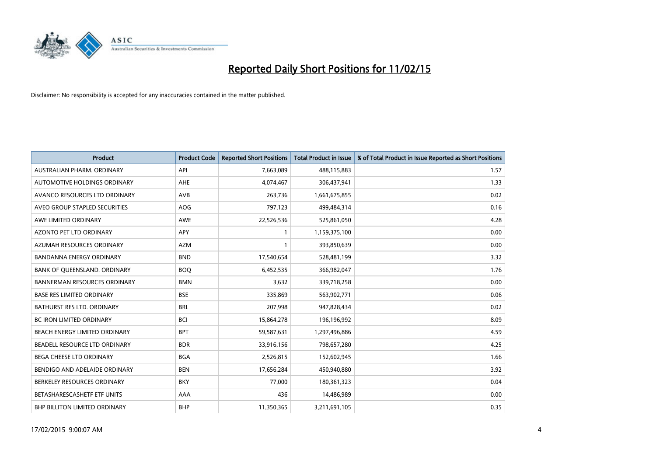

| <b>Product</b>                      | <b>Product Code</b> | <b>Reported Short Positions</b> | <b>Total Product in Issue</b> | % of Total Product in Issue Reported as Short Positions |
|-------------------------------------|---------------------|---------------------------------|-------------------------------|---------------------------------------------------------|
| AUSTRALIAN PHARM, ORDINARY          | API                 | 7,663,089                       | 488,115,883                   | 1.57                                                    |
| AUTOMOTIVE HOLDINGS ORDINARY        | AHE                 | 4,074,467                       | 306,437,941                   | 1.33                                                    |
| AVANCO RESOURCES LTD ORDINARY       | AVB                 | 263,736                         | 1,661,675,855                 | 0.02                                                    |
| AVEO GROUP STAPLED SECURITIES       | <b>AOG</b>          | 797,123                         | 499,484,314                   | 0.16                                                    |
| AWE LIMITED ORDINARY                | <b>AWE</b>          | 22,526,536                      | 525,861,050                   | 4.28                                                    |
| AZONTO PET LTD ORDINARY             | APY                 | 1                               | 1,159,375,100                 | 0.00                                                    |
| AZUMAH RESOURCES ORDINARY           | <b>AZM</b>          | 1                               | 393,850,639                   | 0.00                                                    |
| <b>BANDANNA ENERGY ORDINARY</b>     | <b>BND</b>          | 17,540,654                      | 528,481,199                   | 3.32                                                    |
| BANK OF QUEENSLAND. ORDINARY        | <b>BOQ</b>          | 6,452,535                       | 366,982,047                   | 1.76                                                    |
| <b>BANNERMAN RESOURCES ORDINARY</b> | <b>BMN</b>          | 3,632                           | 339,718,258                   | 0.00                                                    |
| <b>BASE RES LIMITED ORDINARY</b>    | <b>BSE</b>          | 335,869                         | 563,902,771                   | 0.06                                                    |
| BATHURST RES LTD. ORDINARY          | <b>BRL</b>          | 207,998                         | 947,828,434                   | 0.02                                                    |
| <b>BC IRON LIMITED ORDINARY</b>     | <b>BCI</b>          | 15,864,278                      | 196,196,992                   | 8.09                                                    |
| BEACH ENERGY LIMITED ORDINARY       | <b>BPT</b>          | 59,587,631                      | 1,297,496,886                 | 4.59                                                    |
| BEADELL RESOURCE LTD ORDINARY       | <b>BDR</b>          | 33,916,156                      | 798,657,280                   | 4.25                                                    |
| BEGA CHEESE LTD ORDINARY            | <b>BGA</b>          | 2,526,815                       | 152,602,945                   | 1.66                                                    |
| BENDIGO AND ADELAIDE ORDINARY       | <b>BEN</b>          | 17,656,284                      | 450,940,880                   | 3.92                                                    |
| BERKELEY RESOURCES ORDINARY         | <b>BKY</b>          | 77,000                          | 180,361,323                   | 0.04                                                    |
| BETASHARESCASHETF ETF UNITS         | AAA                 | 436                             | 14,486,989                    | 0.00                                                    |
| BHP BILLITON LIMITED ORDINARY       | <b>BHP</b>          | 11,350,365                      | 3,211,691,105                 | 0.35                                                    |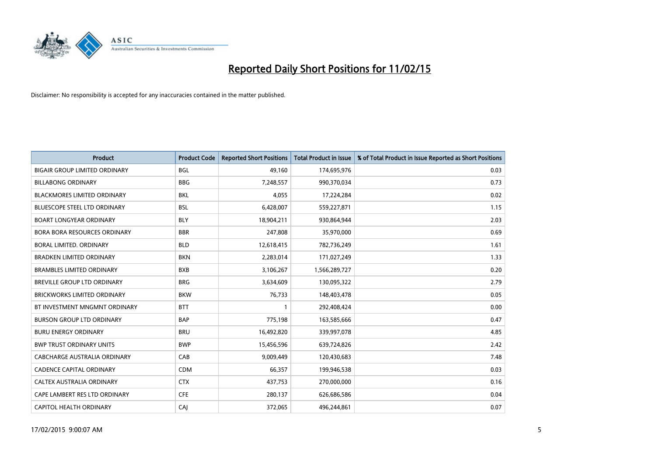

| <b>Product</b>                       | <b>Product Code</b> | <b>Reported Short Positions</b> | <b>Total Product in Issue</b> | % of Total Product in Issue Reported as Short Positions |
|--------------------------------------|---------------------|---------------------------------|-------------------------------|---------------------------------------------------------|
| <b>BIGAIR GROUP LIMITED ORDINARY</b> | <b>BGL</b>          | 49,160                          | 174,695,976                   | 0.03                                                    |
| <b>BILLABONG ORDINARY</b>            | <b>BBG</b>          | 7,248,557                       | 990,370,034                   | 0.73                                                    |
| <b>BLACKMORES LIMITED ORDINARY</b>   | <b>BKL</b>          | 4,055                           | 17,224,284                    | 0.02                                                    |
| BLUESCOPE STEEL LTD ORDINARY         | BSL                 | 6,428,007                       | 559,227,871                   | 1.15                                                    |
| <b>BOART LONGYEAR ORDINARY</b>       | <b>BLY</b>          | 18,904,211                      | 930,864,944                   | 2.03                                                    |
| <b>BORA BORA RESOURCES ORDINARY</b>  | <b>BBR</b>          | 247,808                         | 35,970,000                    | 0.69                                                    |
| BORAL LIMITED, ORDINARY              | <b>BLD</b>          | 12,618,415                      | 782,736,249                   | 1.61                                                    |
| <b>BRADKEN LIMITED ORDINARY</b>      | <b>BKN</b>          | 2,283,014                       | 171,027,249                   | 1.33                                                    |
| <b>BRAMBLES LIMITED ORDINARY</b>     | <b>BXB</b>          | 3,106,267                       | 1,566,289,727                 | 0.20                                                    |
| <b>BREVILLE GROUP LTD ORDINARY</b>   | <b>BRG</b>          | 3,634,609                       | 130,095,322                   | 2.79                                                    |
| <b>BRICKWORKS LIMITED ORDINARY</b>   | <b>BKW</b>          | 76,733                          | 148,403,478                   | 0.05                                                    |
| BT INVESTMENT MNGMNT ORDINARY        | <b>BTT</b>          | $\mathbf{1}$                    | 292,408,424                   | 0.00                                                    |
| <b>BURSON GROUP LTD ORDINARY</b>     | <b>BAP</b>          | 775,198                         | 163,585,666                   | 0.47                                                    |
| <b>BURU ENERGY ORDINARY</b>          | <b>BRU</b>          | 16,492,820                      | 339,997,078                   | 4.85                                                    |
| <b>BWP TRUST ORDINARY UNITS</b>      | <b>BWP</b>          | 15,456,596                      | 639,724,826                   | 2.42                                                    |
| <b>CABCHARGE AUSTRALIA ORDINARY</b>  | CAB                 | 9,009,449                       | 120,430,683                   | 7.48                                                    |
| <b>CADENCE CAPITAL ORDINARY</b>      | <b>CDM</b>          | 66,357                          | 199,946,538                   | 0.03                                                    |
| CALTEX AUSTRALIA ORDINARY            | <b>CTX</b>          | 437,753                         | 270,000,000                   | 0.16                                                    |
| CAPE LAMBERT RES LTD ORDINARY        | <b>CFE</b>          | 280,137                         | 626,686,586                   | 0.04                                                    |
| CAPITOL HEALTH ORDINARY              | CAJ                 | 372,065                         | 496,244,861                   | 0.07                                                    |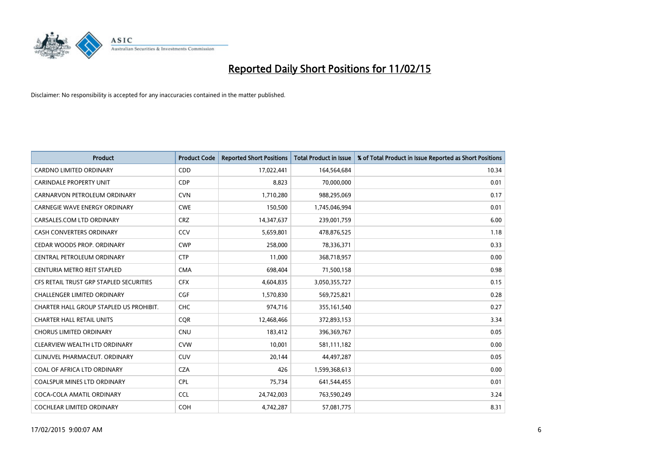

| Product                                 | <b>Product Code</b> | <b>Reported Short Positions</b> | <b>Total Product in Issue</b> | % of Total Product in Issue Reported as Short Positions |
|-----------------------------------------|---------------------|---------------------------------|-------------------------------|---------------------------------------------------------|
| <b>CARDNO LIMITED ORDINARY</b>          | CDD                 | 17,022,441                      | 164,564,684                   | 10.34                                                   |
| <b>CARINDALE PROPERTY UNIT</b>          | <b>CDP</b>          | 8,823                           | 70,000,000                    | 0.01                                                    |
| CARNARVON PETROLEUM ORDINARY            | <b>CVN</b>          | 1,710,280                       | 988,295,069                   | 0.17                                                    |
| CARNEGIE WAVE ENERGY ORDINARY           | <b>CWE</b>          | 150,500                         | 1,745,046,994                 | 0.01                                                    |
| CARSALES.COM LTD ORDINARY               | <b>CRZ</b>          | 14,347,637                      | 239,001,759                   | 6.00                                                    |
| CASH CONVERTERS ORDINARY                | CCV                 | 5,659,801                       | 478,876,525                   | 1.18                                                    |
| CEDAR WOODS PROP. ORDINARY              | <b>CWP</b>          | 258,000                         | 78,336,371                    | 0.33                                                    |
| CENTRAL PETROLEUM ORDINARY              | <b>CTP</b>          | 11,000                          | 368,718,957                   | 0.00                                                    |
| CENTURIA METRO REIT STAPLED             | <b>CMA</b>          | 698,404                         | 71,500,158                    | 0.98                                                    |
| CFS RETAIL TRUST GRP STAPLED SECURITIES | <b>CFX</b>          | 4,604,835                       | 3,050,355,727                 | 0.15                                                    |
| <b>CHALLENGER LIMITED ORDINARY</b>      | <b>CGF</b>          | 1,570,830                       | 569,725,821                   | 0.28                                                    |
| CHARTER HALL GROUP STAPLED US PROHIBIT. | <b>CHC</b>          | 974,716                         | 355,161,540                   | 0.27                                                    |
| <b>CHARTER HALL RETAIL UNITS</b>        | <b>CQR</b>          | 12,468,466                      | 372,893,153                   | 3.34                                                    |
| <b>CHORUS LIMITED ORDINARY</b>          | <b>CNU</b>          | 183,412                         | 396,369,767                   | 0.05                                                    |
| CLEARVIEW WEALTH LTD ORDINARY           | <b>CVW</b>          | 10,001                          | 581,111,182                   | 0.00                                                    |
| CLINUVEL PHARMACEUT. ORDINARY           | <b>CUV</b>          | 20,144                          | 44,497,287                    | 0.05                                                    |
| COAL OF AFRICA LTD ORDINARY             | <b>CZA</b>          | 426                             | 1,599,368,613                 | 0.00                                                    |
| COALSPUR MINES LTD ORDINARY             | <b>CPL</b>          | 75,734                          | 641,544,455                   | 0.01                                                    |
| COCA-COLA AMATIL ORDINARY               | <b>CCL</b>          | 24,742,003                      | 763,590,249                   | 3.24                                                    |
| COCHLEAR LIMITED ORDINARY               | <b>COH</b>          | 4,742,287                       | 57,081,775                    | 8.31                                                    |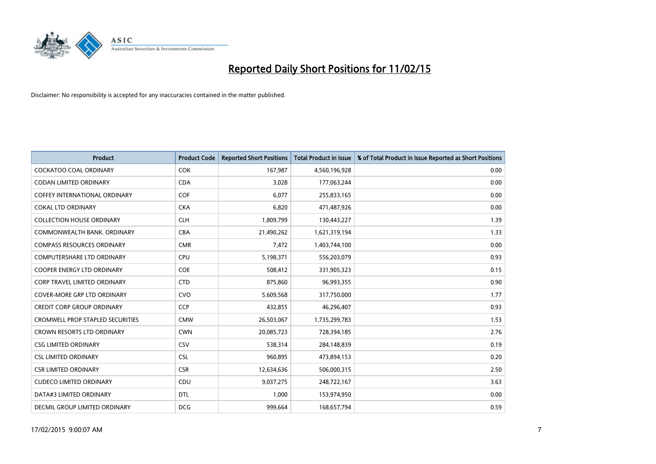

| <b>Product</b>                          | <b>Product Code</b> | <b>Reported Short Positions</b> | <b>Total Product in Issue</b> | % of Total Product in Issue Reported as Short Positions |
|-----------------------------------------|---------------------|---------------------------------|-------------------------------|---------------------------------------------------------|
| <b>COCKATOO COAL ORDINARY</b>           | <b>COK</b>          | 167,987                         | 4,560,196,928                 | 0.00                                                    |
| CODAN LIMITED ORDINARY                  | <b>CDA</b>          | 3,028                           | 177,063,244                   | 0.00                                                    |
| <b>COFFEY INTERNATIONAL ORDINARY</b>    | <b>COF</b>          | 6,077                           | 255,833,165                   | 0.00                                                    |
| <b>COKAL LTD ORDINARY</b>               | <b>CKA</b>          | 6,820                           | 471,487,926                   | 0.00                                                    |
| <b>COLLECTION HOUSE ORDINARY</b>        | <b>CLH</b>          | 1,809,799                       | 130,443,227                   | 1.39                                                    |
| COMMONWEALTH BANK, ORDINARY             | <b>CBA</b>          | 21,490,262                      | 1,621,319,194                 | 1.33                                                    |
| <b>COMPASS RESOURCES ORDINARY</b>       | <b>CMR</b>          | 7,472                           | 1,403,744,100                 | 0.00                                                    |
| COMPUTERSHARE LTD ORDINARY              | <b>CPU</b>          | 5,198,371                       | 556,203,079                   | 0.93                                                    |
| <b>COOPER ENERGY LTD ORDINARY</b>       | <b>COE</b>          | 508,412                         | 331,905,323                   | 0.15                                                    |
| <b>CORP TRAVEL LIMITED ORDINARY</b>     | <b>CTD</b>          | 875,860                         | 96,993,355                    | 0.90                                                    |
| COVER-MORE GRP LTD ORDINARY             | <b>CVO</b>          | 5,609,568                       | 317,750,000                   | 1.77                                                    |
| <b>CREDIT CORP GROUP ORDINARY</b>       | <b>CCP</b>          | 432,855                         | 46,296,407                    | 0.93                                                    |
| <b>CROMWELL PROP STAPLED SECURITIES</b> | <b>CMW</b>          | 26,503,067                      | 1,735,299,783                 | 1.53                                                    |
| <b>CROWN RESORTS LTD ORDINARY</b>       | <b>CWN</b>          | 20,085,723                      | 728,394,185                   | 2.76                                                    |
| <b>CSG LIMITED ORDINARY</b>             | CSV                 | 538,314                         | 284,148,839                   | 0.19                                                    |
| <b>CSL LIMITED ORDINARY</b>             | <b>CSL</b>          | 960,895                         | 473,894,153                   | 0.20                                                    |
| <b>CSR LIMITED ORDINARY</b>             | <b>CSR</b>          | 12,634,636                      | 506,000,315                   | 2.50                                                    |
| <b>CUDECO LIMITED ORDINARY</b>          | <b>CDU</b>          | 9,037,275                       | 248,722,167                   | 3.63                                                    |
| DATA#3 LIMITED ORDINARY                 | <b>DTL</b>          | 1,000                           | 153,974,950                   | 0.00                                                    |
| DECMIL GROUP LIMITED ORDINARY           | <b>DCG</b>          | 999,664                         | 168,657,794                   | 0.59                                                    |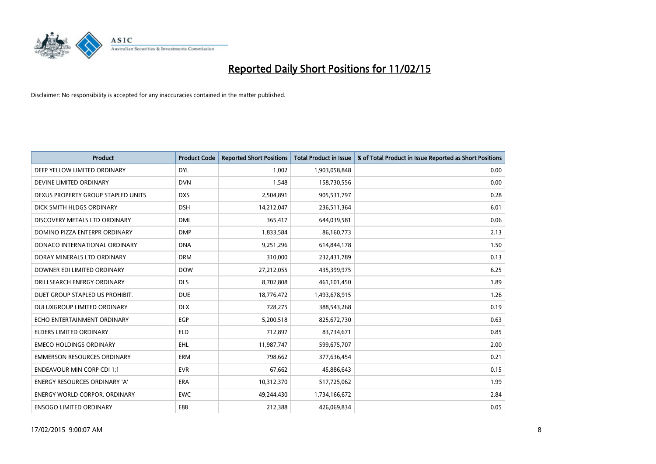

| <b>Product</b>                       | <b>Product Code</b> | <b>Reported Short Positions</b> | <b>Total Product in Issue</b> | % of Total Product in Issue Reported as Short Positions |
|--------------------------------------|---------------------|---------------------------------|-------------------------------|---------------------------------------------------------|
| DEEP YELLOW LIMITED ORDINARY         | <b>DYL</b>          | 1,002                           | 1,903,058,848                 | 0.00                                                    |
| DEVINE LIMITED ORDINARY              | <b>DVN</b>          | 1,548                           | 158,730,556                   | 0.00                                                    |
| DEXUS PROPERTY GROUP STAPLED UNITS   | <b>DXS</b>          | 2,504,891                       | 905,531,797                   | 0.28                                                    |
| DICK SMITH HLDGS ORDINARY            | <b>DSH</b>          | 14,212,047                      | 236,511,364                   | 6.01                                                    |
| DISCOVERY METALS LTD ORDINARY        | <b>DML</b>          | 365,417                         | 644,039,581                   | 0.06                                                    |
| DOMINO PIZZA ENTERPR ORDINARY        | <b>DMP</b>          | 1,833,584                       | 86,160,773                    | 2.13                                                    |
| DONACO INTERNATIONAL ORDINARY        | <b>DNA</b>          | 9,251,296                       | 614,844,178                   | 1.50                                                    |
| DORAY MINERALS LTD ORDINARY          | <b>DRM</b>          | 310,000                         | 232,431,789                   | 0.13                                                    |
| DOWNER EDI LIMITED ORDINARY          | <b>DOW</b>          | 27,212,055                      | 435,399,975                   | 6.25                                                    |
| DRILLSEARCH ENERGY ORDINARY          | <b>DLS</b>          | 8,702,808                       | 461,101,450                   | 1.89                                                    |
| DUET GROUP STAPLED US PROHIBIT.      | <b>DUE</b>          | 18,776,472                      | 1,493,678,915                 | 1.26                                                    |
| <b>DULUXGROUP LIMITED ORDINARY</b>   | <b>DLX</b>          | 728,275                         | 388,543,268                   | 0.19                                                    |
| ECHO ENTERTAINMENT ORDINARY          | <b>EGP</b>          | 5,200,518                       | 825,672,730                   | 0.63                                                    |
| <b>ELDERS LIMITED ORDINARY</b>       | <b>ELD</b>          | 712,897                         | 83,734,671                    | 0.85                                                    |
| <b>EMECO HOLDINGS ORDINARY</b>       | <b>EHL</b>          | 11,987,747                      | 599,675,707                   | 2.00                                                    |
| <b>EMMERSON RESOURCES ORDINARY</b>   | ERM                 | 798,662                         | 377,636,454                   | 0.21                                                    |
| <b>ENDEAVOUR MIN CORP CDI 1:1</b>    | <b>EVR</b>          | 67,662                          | 45,886,643                    | 0.15                                                    |
| ENERGY RESOURCES ORDINARY 'A'        | <b>ERA</b>          | 10,312,370                      | 517,725,062                   | 1.99                                                    |
| <b>ENERGY WORLD CORPOR, ORDINARY</b> | <b>EWC</b>          | 49,244,430                      | 1,734,166,672                 | 2.84                                                    |
| <b>ENSOGO LIMITED ORDINARY</b>       | E88                 | 212,388                         | 426,069,834                   | 0.05                                                    |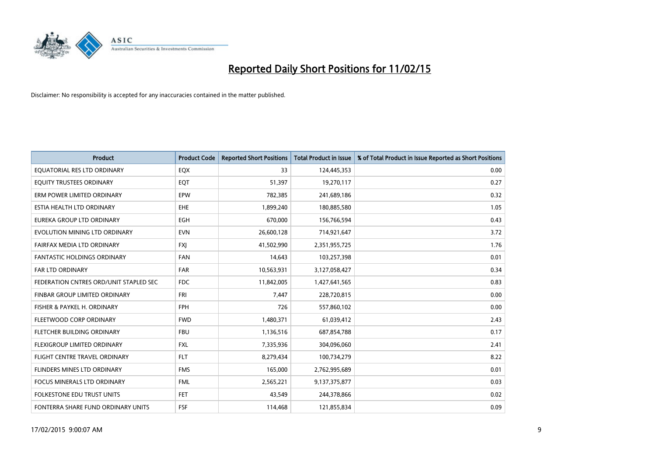

| <b>Product</b>                         | <b>Product Code</b> | <b>Reported Short Positions</b> | <b>Total Product in Issue</b> | % of Total Product in Issue Reported as Short Positions |
|----------------------------------------|---------------------|---------------------------------|-------------------------------|---------------------------------------------------------|
| EQUATORIAL RES LTD ORDINARY            | EQX                 | 33                              | 124,445,353                   | 0.00                                                    |
| EQUITY TRUSTEES ORDINARY               | EQT                 | 51,397                          | 19,270,117                    | 0.27                                                    |
| ERM POWER LIMITED ORDINARY             | EPW                 | 782,385                         | 241,689,186                   | 0.32                                                    |
| ESTIA HEALTH LTD ORDINARY              | <b>EHE</b>          | 1,899,240                       | 180,885,580                   | 1.05                                                    |
| EUREKA GROUP LTD ORDINARY              | <b>EGH</b>          | 670,000                         | 156,766,594                   | 0.43                                                    |
| EVOLUTION MINING LTD ORDINARY          | <b>EVN</b>          | 26,600,128                      | 714,921,647                   | 3.72                                                    |
| FAIRFAX MEDIA LTD ORDINARY             | <b>FXI</b>          | 41,502,990                      | 2,351,955,725                 | 1.76                                                    |
| FANTASTIC HOLDINGS ORDINARY            | <b>FAN</b>          | 14,643                          | 103,257,398                   | 0.01                                                    |
| <b>FAR LTD ORDINARY</b>                | <b>FAR</b>          | 10,563,931                      | 3,127,058,427                 | 0.34                                                    |
| FEDERATION CNTRES ORD/UNIT STAPLED SEC | <b>FDC</b>          | 11,842,005                      | 1,427,641,565                 | 0.83                                                    |
| FINBAR GROUP LIMITED ORDINARY          | <b>FRI</b>          | 7,447                           | 228,720,815                   | 0.00                                                    |
| FISHER & PAYKEL H. ORDINARY            | <b>FPH</b>          | 726                             | 557,860,102                   | 0.00                                                    |
| FLEETWOOD CORP ORDINARY                | <b>FWD</b>          | 1,480,371                       | 61,039,412                    | 2.43                                                    |
| FLETCHER BUILDING ORDINARY             | <b>FBU</b>          | 1,136,516                       | 687,854,788                   | 0.17                                                    |
| FLEXIGROUP LIMITED ORDINARY            | <b>FXL</b>          | 7,335,936                       | 304,096,060                   | 2.41                                                    |
| FLIGHT CENTRE TRAVEL ORDINARY          | <b>FLT</b>          | 8,279,434                       | 100,734,279                   | 8.22                                                    |
| FLINDERS MINES LTD ORDINARY            | <b>FMS</b>          | 165,000                         | 2,762,995,689                 | 0.01                                                    |
| FOCUS MINERALS LTD ORDINARY            | <b>FML</b>          | 2,565,221                       | 9,137,375,877                 | 0.03                                                    |
| <b>FOLKESTONE EDU TRUST UNITS</b>      | <b>FET</b>          | 43,549                          | 244,378,866                   | 0.02                                                    |
| FONTERRA SHARE FUND ORDINARY UNITS     | <b>FSF</b>          | 114,468                         | 121,855,834                   | 0.09                                                    |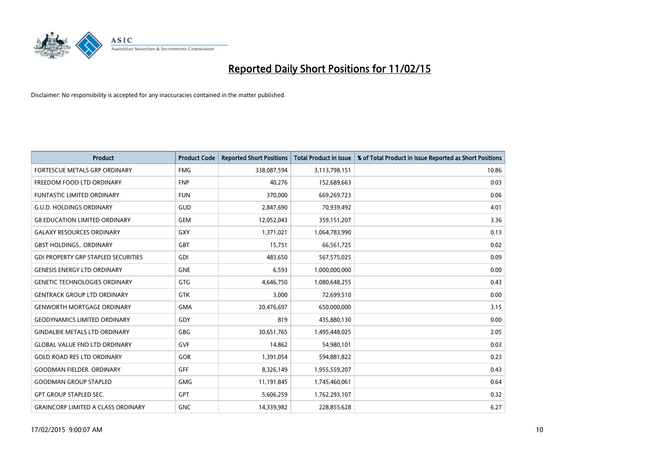

| <b>Product</b>                             | <b>Product Code</b> | <b>Reported Short Positions</b> | <b>Total Product in Issue</b> | % of Total Product in Issue Reported as Short Positions |
|--------------------------------------------|---------------------|---------------------------------|-------------------------------|---------------------------------------------------------|
| FORTESCUE METALS GRP ORDINARY              | <b>FMG</b>          | 338,087,594                     | 3,113,798,151                 | 10.86                                                   |
| FREEDOM FOOD LTD ORDINARY                  | <b>FNP</b>          | 40,276                          | 152,689,663                   | 0.03                                                    |
| <b>FUNTASTIC LIMITED ORDINARY</b>          | <b>FUN</b>          | 370,000                         | 669,269,723                   | 0.06                                                    |
| <b>G.U.D. HOLDINGS ORDINARY</b>            | GUD                 | 2,847,690                       | 70,939,492                    | 4.01                                                    |
| <b>G8 EDUCATION LIMITED ORDINARY</b>       | <b>GEM</b>          | 12,052,043                      | 359,151,207                   | 3.36                                                    |
| <b>GALAXY RESOURCES ORDINARY</b>           | <b>GXY</b>          | 1,371,021                       | 1,064,783,990                 | 0.13                                                    |
| <b>GBST HOLDINGS ORDINARY</b>              | <b>GBT</b>          | 15,751                          | 66,561,725                    | 0.02                                                    |
| <b>GDI PROPERTY GRP STAPLED SECURITIES</b> | GDI                 | 483,650                         | 567,575,025                   | 0.09                                                    |
| <b>GENESIS ENERGY LTD ORDINARY</b>         | <b>GNE</b>          | 6,593                           | 1,000,000,000                 | 0.00                                                    |
| <b>GENETIC TECHNOLOGIES ORDINARY</b>       | <b>GTG</b>          | 4,646,750                       | 1,080,648,255                 | 0.43                                                    |
| <b>GENTRACK GROUP LTD ORDINARY</b>         | <b>GTK</b>          | 3,000                           | 72,699,510                    | 0.00                                                    |
| <b>GENWORTH MORTGAGE ORDINARY</b>          | <b>GMA</b>          | 20,476,697                      | 650,000,000                   | 3.15                                                    |
| <b>GEODYNAMICS LIMITED ORDINARY</b>        | GDY                 | 819                             | 435,880,130                   | 0.00                                                    |
| <b>GINDALBIE METALS LTD ORDINARY</b>       | GBG                 | 30,651,765                      | 1,495,448,025                 | 2.05                                                    |
| <b>GLOBAL VALUE FND LTD ORDINARY</b>       | <b>GVF</b>          | 14,862                          | 54,980,101                    | 0.03                                                    |
| <b>GOLD ROAD RES LTD ORDINARY</b>          | GOR                 | 1,391,054                       | 594,881,822                   | 0.23                                                    |
| <b>GOODMAN FIELDER. ORDINARY</b>           | GFF                 | 8,326,149                       | 1,955,559,207                 | 0.43                                                    |
| <b>GOODMAN GROUP STAPLED</b>               | <b>GMG</b>          | 11,191,845                      | 1,745,460,061                 | 0.64                                                    |
| <b>GPT GROUP STAPLED SEC.</b>              | GPT                 | 5,606,259                       | 1,762,293,107                 | 0.32                                                    |
| <b>GRAINCORP LIMITED A CLASS ORDINARY</b>  | <b>GNC</b>          | 14,339,982                      | 228,855,628                   | 6.27                                                    |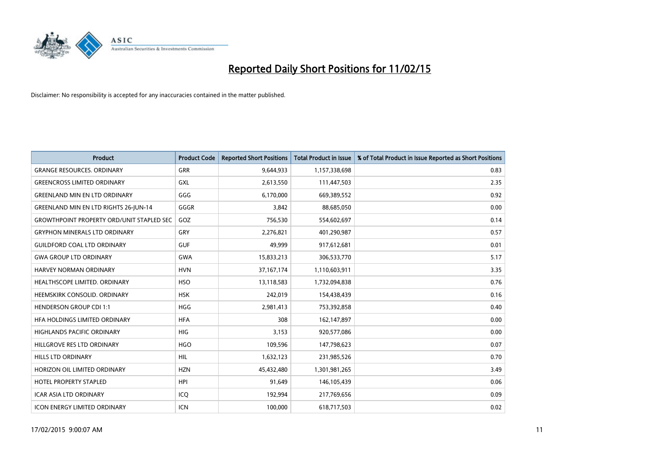

| <b>Product</b>                                   | <b>Product Code</b> | <b>Reported Short Positions</b> | <b>Total Product in Issue</b> | % of Total Product in Issue Reported as Short Positions |
|--------------------------------------------------|---------------------|---------------------------------|-------------------------------|---------------------------------------------------------|
| <b>GRANGE RESOURCES, ORDINARY</b>                | GRR                 | 9,644,933                       | 1,157,338,698                 | 0.83                                                    |
| <b>GREENCROSS LIMITED ORDINARY</b>               | <b>GXL</b>          | 2,613,550                       | 111,447,503                   | 2.35                                                    |
| <b>GREENLAND MIN EN LTD ORDINARY</b>             | GGG                 | 6,170,000                       | 669,389,552                   | 0.92                                                    |
| <b>GREENLAND MIN EN LTD RIGHTS 26-JUN-14</b>     | GGGR                | 3,842                           | 88,685,050                    | 0.00                                                    |
| <b>GROWTHPOINT PROPERTY ORD/UNIT STAPLED SEC</b> | GOZ                 | 756,530                         | 554,602,697                   | 0.14                                                    |
| <b>GRYPHON MINERALS LTD ORDINARY</b>             | GRY                 | 2,276,821                       | 401,290,987                   | 0.57                                                    |
| <b>GUILDFORD COAL LTD ORDINARY</b>               | <b>GUF</b>          | 49,999                          | 917,612,681                   | 0.01                                                    |
| <b>GWA GROUP LTD ORDINARY</b>                    | GWA                 | 15,833,213                      | 306,533,770                   | 5.17                                                    |
| <b>HARVEY NORMAN ORDINARY</b>                    | <b>HVN</b>          | 37, 167, 174                    | 1,110,603,911                 | 3.35                                                    |
| HEALTHSCOPE LIMITED. ORDINARY                    | <b>HSO</b>          | 13,118,583                      | 1,732,094,838                 | 0.76                                                    |
| HEEMSKIRK CONSOLID. ORDINARY                     | <b>HSK</b>          | 242,019                         | 154,438,439                   | 0.16                                                    |
| <b>HENDERSON GROUP CDI 1:1</b>                   | <b>HGG</b>          | 2,981,413                       | 753,392,858                   | 0.40                                                    |
| HFA HOLDINGS LIMITED ORDINARY                    | <b>HFA</b>          | 308                             | 162,147,897                   | 0.00                                                    |
| <b>HIGHLANDS PACIFIC ORDINARY</b>                | <b>HIG</b>          | 3,153                           | 920,577,086                   | 0.00                                                    |
| HILLGROVE RES LTD ORDINARY                       | <b>HGO</b>          | 109,596                         | 147,798,623                   | 0.07                                                    |
| HILLS LTD ORDINARY                               | <b>HIL</b>          | 1,632,123                       | 231,985,526                   | 0.70                                                    |
| HORIZON OIL LIMITED ORDINARY                     | <b>HZN</b>          | 45,432,480                      | 1,301,981,265                 | 3.49                                                    |
| HOTEL PROPERTY STAPLED                           | HPI                 | 91,649                          | 146, 105, 439                 | 0.06                                                    |
| <b>ICAR ASIA LTD ORDINARY</b>                    | ICQ                 | 192,994                         | 217,769,656                   | 0.09                                                    |
| <b>ICON ENERGY LIMITED ORDINARY</b>              | ICN                 | 100,000                         | 618,717,503                   | 0.02                                                    |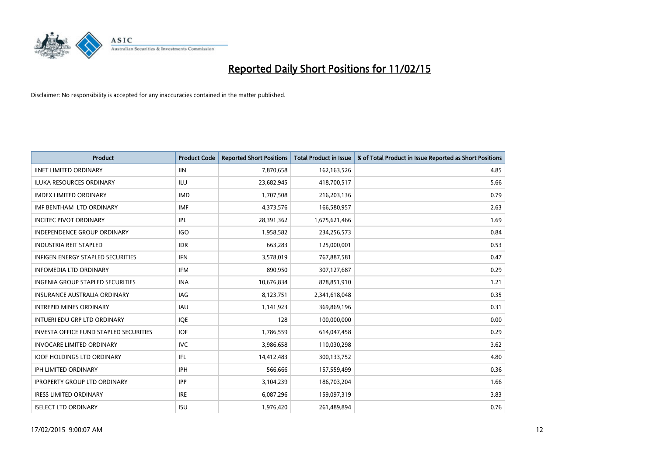

| <b>Product</b>                                | <b>Product Code</b> | <b>Reported Short Positions</b> | <b>Total Product in Issue</b> | % of Total Product in Issue Reported as Short Positions |
|-----------------------------------------------|---------------------|---------------------------------|-------------------------------|---------------------------------------------------------|
| <b>IINET LIMITED ORDINARY</b>                 | <b>IIN</b>          | 7,870,658                       | 162, 163, 526                 | 4.85                                                    |
| ILUKA RESOURCES ORDINARY                      | ILU                 | 23,682,945                      | 418,700,517                   | 5.66                                                    |
| <b>IMDEX LIMITED ORDINARY</b>                 | <b>IMD</b>          | 1,707,508                       | 216,203,136                   | 0.79                                                    |
| IMF BENTHAM LTD ORDINARY                      | <b>IMF</b>          | 4,373,576                       | 166,580,957                   | 2.63                                                    |
| <b>INCITEC PIVOT ORDINARY</b>                 | IPL                 | 28,391,362                      | 1,675,621,466                 | 1.69                                                    |
| <b>INDEPENDENCE GROUP ORDINARY</b>            | <b>IGO</b>          | 1,958,582                       | 234,256,573                   | 0.84                                                    |
| <b>INDUSTRIA REIT STAPLED</b>                 | <b>IDR</b>          | 663,283                         | 125,000,001                   | 0.53                                                    |
| <b>INFIGEN ENERGY STAPLED SECURITIES</b>      | <b>IFN</b>          | 3,578,019                       | 767,887,581                   | 0.47                                                    |
| <b>INFOMEDIA LTD ORDINARY</b>                 | <b>IFM</b>          | 890,950                         | 307,127,687                   | 0.29                                                    |
| <b>INGENIA GROUP STAPLED SECURITIES</b>       | <b>INA</b>          | 10,676,834                      | 878,851,910                   | 1.21                                                    |
| <b>INSURANCE AUSTRALIA ORDINARY</b>           | IAG                 | 8,123,751                       | 2,341,618,048                 | 0.35                                                    |
| <b>INTREPID MINES ORDINARY</b>                | IAU                 | 1,141,923                       | 369,869,196                   | 0.31                                                    |
| INTUERI EDU GRP LTD ORDINARY                  | IQE                 | 128                             | 100,000,000                   | 0.00                                                    |
| <b>INVESTA OFFICE FUND STAPLED SECURITIES</b> | <b>IOF</b>          | 1,786,559                       | 614,047,458                   | 0.29                                                    |
| <b>INVOCARE LIMITED ORDINARY</b>              | <b>IVC</b>          | 3,986,658                       | 110,030,298                   | 3.62                                                    |
| <b>IOOF HOLDINGS LTD ORDINARY</b>             | IFL                 | 14,412,483                      | 300,133,752                   | 4.80                                                    |
| <b>IPH LIMITED ORDINARY</b>                   | <b>IPH</b>          | 566,666                         | 157,559,499                   | 0.36                                                    |
| <b>IPROPERTY GROUP LTD ORDINARY</b>           | <b>IPP</b>          | 3,104,239                       | 186,703,204                   | 1.66                                                    |
| <b>IRESS LIMITED ORDINARY</b>                 | <b>IRE</b>          | 6,087,296                       | 159,097,319                   | 3.83                                                    |
| <b>ISELECT LTD ORDINARY</b>                   | <b>ISU</b>          | 1,976,420                       | 261,489,894                   | 0.76                                                    |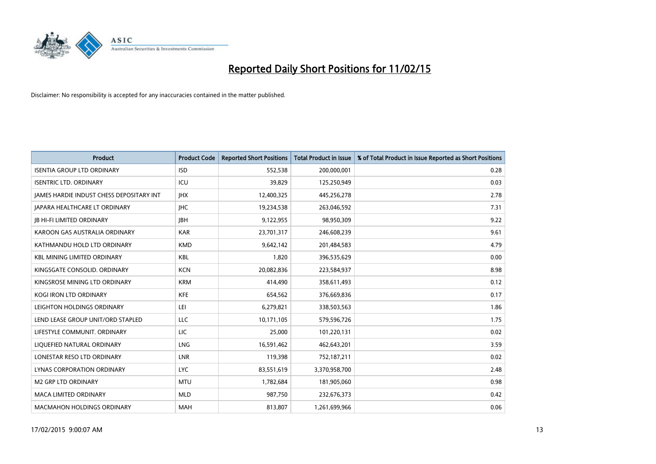

| <b>Product</b>                                  | <b>Product Code</b> | <b>Reported Short Positions</b> | <b>Total Product in Issue</b> | % of Total Product in Issue Reported as Short Positions |
|-------------------------------------------------|---------------------|---------------------------------|-------------------------------|---------------------------------------------------------|
| <b>ISENTIA GROUP LTD ORDINARY</b>               | <b>ISD</b>          | 552,538                         | 200,000,001                   | 0.28                                                    |
| <b>ISENTRIC LTD. ORDINARY</b>                   | ICU                 | 39,829                          | 125,250,949                   | 0.03                                                    |
| <b>JAMES HARDIE INDUST CHESS DEPOSITARY INT</b> | <b>IHX</b>          | 12,400,325                      | 445,256,278                   | 2.78                                                    |
| <b>JAPARA HEALTHCARE LT ORDINARY</b>            | <b>IHC</b>          | 19,234,538                      | 263,046,592                   | 7.31                                                    |
| <b>JB HI-FI LIMITED ORDINARY</b>                | <b>IBH</b>          | 9,122,955                       | 98,950,309                    | 9.22                                                    |
| KAROON GAS AUSTRALIA ORDINARY                   | <b>KAR</b>          | 23,701,317                      | 246,608,239                   | 9.61                                                    |
| KATHMANDU HOLD LTD ORDINARY                     | <b>KMD</b>          | 9,642,142                       | 201,484,583                   | 4.79                                                    |
| KBL MINING LIMITED ORDINARY                     | <b>KBL</b>          | 1,820                           | 396,535,629                   | 0.00                                                    |
| KINGSGATE CONSOLID, ORDINARY                    | <b>KCN</b>          | 20,082,836                      | 223,584,937                   | 8.98                                                    |
| KINGSROSE MINING LTD ORDINARY                   | <b>KRM</b>          | 414,490                         | 358,611,493                   | 0.12                                                    |
| KOGI IRON LTD ORDINARY                          | <b>KFE</b>          | 654,562                         | 376,669,836                   | 0.17                                                    |
| LEIGHTON HOLDINGS ORDINARY                      | LEI                 | 6,279,821                       | 338,503,563                   | 1.86                                                    |
| LEND LEASE GROUP UNIT/ORD STAPLED               | <b>LLC</b>          | 10,171,105                      | 579,596,726                   | 1.75                                                    |
| LIFESTYLE COMMUNIT, ORDINARY                    | <b>LIC</b>          | 25,000                          | 101,220,131                   | 0.02                                                    |
| LIQUEFIED NATURAL ORDINARY                      | <b>LNG</b>          | 16,591,462                      | 462,643,201                   | 3.59                                                    |
| LONESTAR RESO LTD ORDINARY                      | <b>LNR</b>          | 119,398                         | 752,187,211                   | 0.02                                                    |
| LYNAS CORPORATION ORDINARY                      | <b>LYC</b>          | 83,551,619                      | 3,370,958,700                 | 2.48                                                    |
| <b>M2 GRP LTD ORDINARY</b>                      | <b>MTU</b>          | 1,782,684                       | 181,905,060                   | 0.98                                                    |
| <b>MACA LIMITED ORDINARY</b>                    | <b>MLD</b>          | 987,750                         | 232,676,373                   | 0.42                                                    |
| <b>MACMAHON HOLDINGS ORDINARY</b>               | <b>MAH</b>          | 813,807                         | 1,261,699,966                 | 0.06                                                    |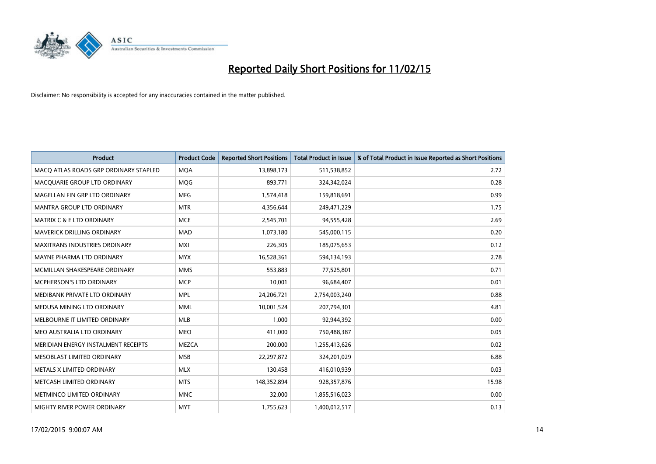

| <b>Product</b>                        | <b>Product Code</b> | <b>Reported Short Positions</b> | <b>Total Product in Issue</b> | % of Total Product in Issue Reported as Short Positions |
|---------------------------------------|---------------------|---------------------------------|-------------------------------|---------------------------------------------------------|
| MACO ATLAS ROADS GRP ORDINARY STAPLED | <b>MQA</b>          | 13,898,173                      | 511,538,852                   | 2.72                                                    |
| MACQUARIE GROUP LTD ORDINARY          | <b>MQG</b>          | 893,771                         | 324,342,024                   | 0.28                                                    |
| MAGELLAN FIN GRP LTD ORDINARY         | <b>MFG</b>          | 1,574,418                       | 159,818,691                   | 0.99                                                    |
| <b>MANTRA GROUP LTD ORDINARY</b>      | <b>MTR</b>          | 4,356,644                       | 249,471,229                   | 1.75                                                    |
| <b>MATRIX C &amp; E LTD ORDINARY</b>  | <b>MCE</b>          | 2,545,701                       | 94,555,428                    | 2.69                                                    |
| MAVERICK DRILLING ORDINARY            | <b>MAD</b>          | 1,073,180                       | 545,000,115                   | 0.20                                                    |
| <b>MAXITRANS INDUSTRIES ORDINARY</b>  | <b>MXI</b>          | 226,305                         | 185,075,653                   | 0.12                                                    |
| MAYNE PHARMA LTD ORDINARY             | <b>MYX</b>          | 16,528,361                      | 594,134,193                   | 2.78                                                    |
| MCMILLAN SHAKESPEARE ORDINARY         | <b>MMS</b>          | 553,883                         | 77,525,801                    | 0.71                                                    |
| <b>MCPHERSON'S LTD ORDINARY</b>       | <b>MCP</b>          | 10,001                          | 96,684,407                    | 0.01                                                    |
| MEDIBANK PRIVATE LTD ORDINARY         | <b>MPL</b>          | 24,206,721                      | 2,754,003,240                 | 0.88                                                    |
| MEDUSA MINING LTD ORDINARY            | <b>MML</b>          | 10,001,524                      | 207,794,301                   | 4.81                                                    |
| MELBOURNE IT LIMITED ORDINARY         | <b>MLB</b>          | 1,000                           | 92,944,392                    | 0.00                                                    |
| MEO AUSTRALIA LTD ORDINARY            | <b>MEO</b>          | 411,000                         | 750,488,387                   | 0.05                                                    |
| MERIDIAN ENERGY INSTALMENT RECEIPTS   | <b>MEZCA</b>        | 200,000                         | 1,255,413,626                 | 0.02                                                    |
| MESOBLAST LIMITED ORDINARY            | <b>MSB</b>          | 22,297,872                      | 324,201,029                   | 6.88                                                    |
| METALS X LIMITED ORDINARY             | <b>MLX</b>          | 130,458                         | 416,010,939                   | 0.03                                                    |
| METCASH LIMITED ORDINARY              | <b>MTS</b>          | 148,352,894                     | 928,357,876                   | 15.98                                                   |
| METMINCO LIMITED ORDINARY             | <b>MNC</b>          | 32,000                          | 1,855,516,023                 | 0.00                                                    |
| <b>MIGHTY RIVER POWER ORDINARY</b>    | <b>MYT</b>          | 1,755,623                       | 1,400,012,517                 | 0.13                                                    |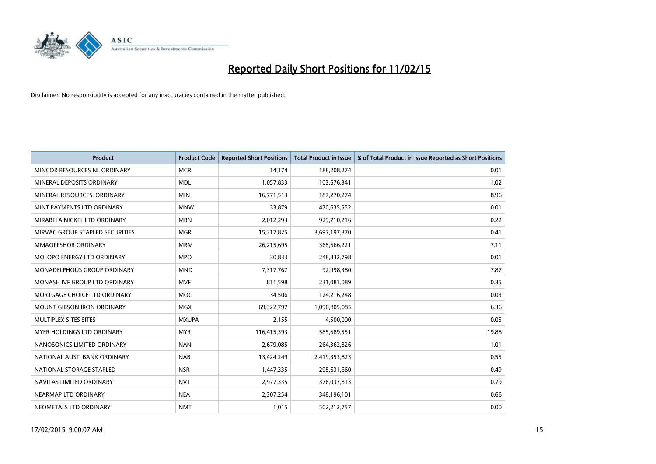

| <b>Product</b>                    | <b>Product Code</b> | <b>Reported Short Positions</b> | <b>Total Product in Issue</b> | % of Total Product in Issue Reported as Short Positions |
|-----------------------------------|---------------------|---------------------------------|-------------------------------|---------------------------------------------------------|
| MINCOR RESOURCES NL ORDINARY      | <b>MCR</b>          | 14,174                          | 188,208,274                   | 0.01                                                    |
| MINERAL DEPOSITS ORDINARY         | <b>MDL</b>          | 1,057,833                       | 103,676,341                   | 1.02                                                    |
| MINERAL RESOURCES, ORDINARY       | <b>MIN</b>          | 16,771,513                      | 187,270,274                   | 8.96                                                    |
| MINT PAYMENTS LTD ORDINARY        | <b>MNW</b>          | 33,879                          | 470,635,552                   | 0.01                                                    |
| MIRABELA NICKEL LTD ORDINARY      | <b>MBN</b>          | 2,012,293                       | 929,710,216                   | 0.22                                                    |
| MIRVAC GROUP STAPLED SECURITIES   | <b>MGR</b>          | 15,217,825                      | 3,697,197,370                 | 0.41                                                    |
| <b>MMAOFFSHOR ORDINARY</b>        | <b>MRM</b>          | 26,215,695                      | 368,666,221                   | 7.11                                                    |
| MOLOPO ENERGY LTD ORDINARY        | <b>MPO</b>          | 30,833                          | 248,832,798                   | 0.01                                                    |
| MONADELPHOUS GROUP ORDINARY       | <b>MND</b>          | 7,317,767                       | 92,998,380                    | 7.87                                                    |
| MONASH IVF GROUP LTD ORDINARY     | <b>MVF</b>          | 811,598                         | 231,081,089                   | 0.35                                                    |
| MORTGAGE CHOICE LTD ORDINARY      | MOC                 | 34,506                          | 124,216,248                   | 0.03                                                    |
| <b>MOUNT GIBSON IRON ORDINARY</b> | <b>MGX</b>          | 69,322,797                      | 1,090,805,085                 | 6.36                                                    |
| MULTIPLEX SITES SITES             | <b>MXUPA</b>        | 2,155                           | 4,500,000                     | 0.05                                                    |
| MYER HOLDINGS LTD ORDINARY        | <b>MYR</b>          | 116,415,393                     | 585,689,551                   | 19.88                                                   |
| NANOSONICS LIMITED ORDINARY       | <b>NAN</b>          | 2,679,085                       | 264,362,826                   | 1.01                                                    |
| NATIONAL AUST, BANK ORDINARY      | <b>NAB</b>          | 13,424,249                      | 2,419,353,823                 | 0.55                                                    |
| NATIONAL STORAGE STAPLED          | <b>NSR</b>          | 1,447,335                       | 295,631,660                   | 0.49                                                    |
| NAVITAS LIMITED ORDINARY          | <b>NVT</b>          | 2,977,335                       | 376,037,813                   | 0.79                                                    |
| NEARMAP LTD ORDINARY              | <b>NEA</b>          | 2,307,254                       | 348,196,101                   | 0.66                                                    |
| NEOMETALS LTD ORDINARY            | <b>NMT</b>          | 1,015                           | 502,212,757                   | 0.00                                                    |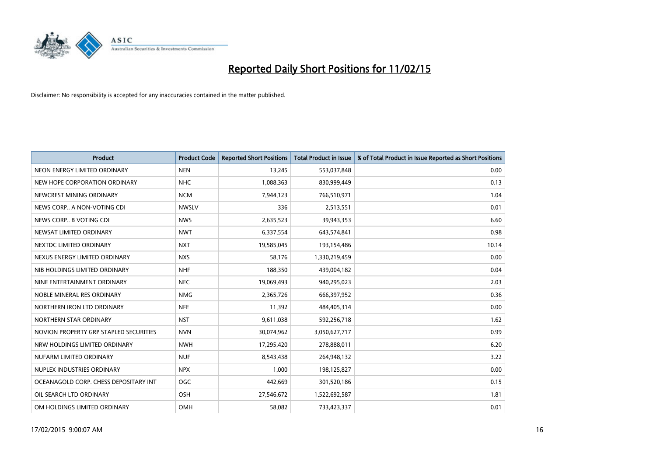

| <b>Product</b>                         | <b>Product Code</b> | <b>Reported Short Positions</b> | <b>Total Product in Issue</b> | % of Total Product in Issue Reported as Short Positions |
|----------------------------------------|---------------------|---------------------------------|-------------------------------|---------------------------------------------------------|
| NEON ENERGY LIMITED ORDINARY           | <b>NEN</b>          | 13,245                          | 553,037,848                   | 0.00                                                    |
| NEW HOPE CORPORATION ORDINARY          | <b>NHC</b>          | 1,088,363                       | 830,999,449                   | 0.13                                                    |
| NEWCREST MINING ORDINARY               | <b>NCM</b>          | 7,944,123                       | 766,510,971                   | 1.04                                                    |
| NEWS CORP A NON-VOTING CDI             | <b>NWSLV</b>        | 336                             | 2,513,551                     | 0.01                                                    |
| NEWS CORP B VOTING CDI                 | <b>NWS</b>          | 2,635,523                       | 39,943,353                    | 6.60                                                    |
| NEWSAT LIMITED ORDINARY                | <b>NWT</b>          | 6,337,554                       | 643,574,841                   | 0.98                                                    |
| NEXTDC LIMITED ORDINARY                | <b>NXT</b>          | 19,585,045                      | 193,154,486                   | 10.14                                                   |
| NEXUS ENERGY LIMITED ORDINARY          | <b>NXS</b>          | 58,176                          | 1,330,219,459                 | 0.00                                                    |
| NIB HOLDINGS LIMITED ORDINARY          | <b>NHF</b>          | 188,350                         | 439,004,182                   | 0.04                                                    |
| NINE ENTERTAINMENT ORDINARY            | <b>NEC</b>          | 19,069,493                      | 940,295,023                   | 2.03                                                    |
| NOBLE MINERAL RES ORDINARY             | <b>NMG</b>          | 2,365,726                       | 666,397,952                   | 0.36                                                    |
| NORTHERN IRON LTD ORDINARY             | <b>NFE</b>          | 11,392                          | 484,405,314                   | 0.00                                                    |
| NORTHERN STAR ORDINARY                 | <b>NST</b>          | 9,611,038                       | 592,256,718                   | 1.62                                                    |
| NOVION PROPERTY GRP STAPLED SECURITIES | <b>NVN</b>          | 30,074,962                      | 3,050,627,717                 | 0.99                                                    |
| NRW HOLDINGS LIMITED ORDINARY          | <b>NWH</b>          | 17,295,420                      | 278,888,011                   | 6.20                                                    |
| NUFARM LIMITED ORDINARY                | <b>NUF</b>          | 8,543,438                       | 264,948,132                   | 3.22                                                    |
| NUPLEX INDUSTRIES ORDINARY             | <b>NPX</b>          | 1,000                           | 198,125,827                   | 0.00                                                    |
| OCEANAGOLD CORP. CHESS DEPOSITARY INT  | <b>OGC</b>          | 442,669                         | 301,520,186                   | 0.15                                                    |
| OIL SEARCH LTD ORDINARY                | OSH                 | 27,546,672                      | 1,522,692,587                 | 1.81                                                    |
| OM HOLDINGS LIMITED ORDINARY           | OMH                 | 58,082                          | 733,423,337                   | 0.01                                                    |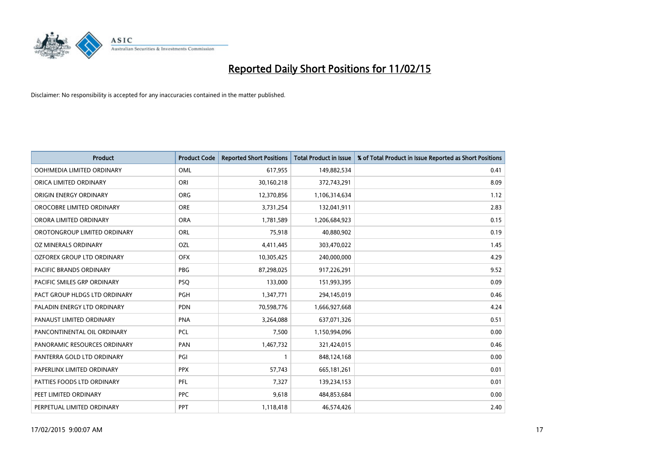

| <b>Product</b>                 | <b>Product Code</b> | <b>Reported Short Positions</b> | <b>Total Product in Issue</b> | % of Total Product in Issue Reported as Short Positions |
|--------------------------------|---------------------|---------------------------------|-------------------------------|---------------------------------------------------------|
| OOH!MEDIA LIMITED ORDINARY     | OML                 | 617,955                         | 149,882,534                   | 0.41                                                    |
| ORICA LIMITED ORDINARY         | ORI                 | 30,160,218                      | 372,743,291                   | 8.09                                                    |
| ORIGIN ENERGY ORDINARY         | <b>ORG</b>          | 12,370,856                      | 1,106,314,634                 | 1.12                                                    |
| OROCOBRE LIMITED ORDINARY      | <b>ORE</b>          | 3,731,254                       | 132,041,911                   | 2.83                                                    |
| ORORA LIMITED ORDINARY         | <b>ORA</b>          | 1,781,589                       | 1,206,684,923                 | 0.15                                                    |
| OROTONGROUP LIMITED ORDINARY   | <b>ORL</b>          | 75,918                          | 40,880,902                    | 0.19                                                    |
| OZ MINERALS ORDINARY           | OZL                 | 4,411,445                       | 303,470,022                   | 1.45                                                    |
| OZFOREX GROUP LTD ORDINARY     | <b>OFX</b>          | 10,305,425                      | 240,000,000                   | 4.29                                                    |
| <b>PACIFIC BRANDS ORDINARY</b> | <b>PBG</b>          | 87,298,025                      | 917,226,291                   | 9.52                                                    |
| PACIFIC SMILES GRP ORDINARY    | <b>PSQ</b>          | 133,000                         | 151,993,395                   | 0.09                                                    |
| PACT GROUP HLDGS LTD ORDINARY  | PGH                 | 1,347,771                       | 294,145,019                   | 0.46                                                    |
| PALADIN ENERGY LTD ORDINARY    | <b>PDN</b>          | 70,598,776                      | 1,666,927,668                 | 4.24                                                    |
| PANAUST LIMITED ORDINARY       | <b>PNA</b>          | 3,264,088                       | 637,071,326                   | 0.51                                                    |
| PANCONTINENTAL OIL ORDINARY    | <b>PCL</b>          | 7,500                           | 1,150,994,096                 | 0.00                                                    |
| PANORAMIC RESOURCES ORDINARY   | PAN                 | 1,467,732                       | 321,424,015                   | 0.46                                                    |
| PANTERRA GOLD LTD ORDINARY     | PGI                 | $\mathbf{1}$                    | 848,124,168                   | 0.00                                                    |
| PAPERLINX LIMITED ORDINARY     | <b>PPX</b>          | 57,743                          | 665, 181, 261                 | 0.01                                                    |
| PATTIES FOODS LTD ORDINARY     | PFL                 | 7,327                           | 139,234,153                   | 0.01                                                    |
| PEET LIMITED ORDINARY          | <b>PPC</b>          | 9,618                           | 484,853,684                   | 0.00                                                    |
| PERPETUAL LIMITED ORDINARY     | PPT                 | 1,118,418                       | 46,574,426                    | 2.40                                                    |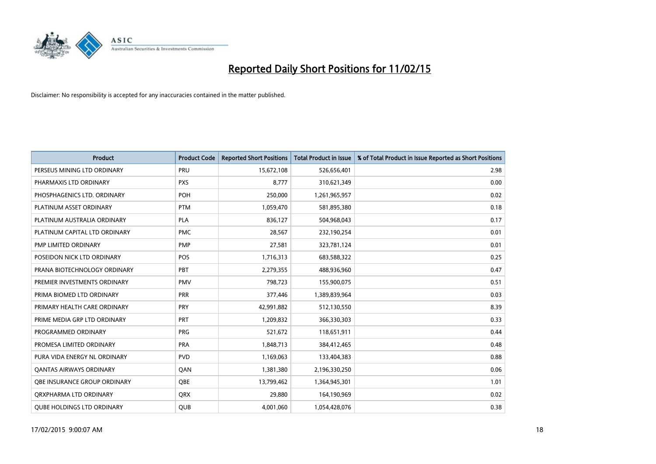

| <b>Product</b>                    | <b>Product Code</b> | <b>Reported Short Positions</b> | <b>Total Product in Issue</b> | % of Total Product in Issue Reported as Short Positions |
|-----------------------------------|---------------------|---------------------------------|-------------------------------|---------------------------------------------------------|
| PERSEUS MINING LTD ORDINARY       | PRU                 | 15,672,108                      | 526,656,401                   | 2.98                                                    |
| PHARMAXIS LTD ORDINARY            | <b>PXS</b>          | 8,777                           | 310,621,349                   | 0.00                                                    |
| PHOSPHAGENICS LTD. ORDINARY       | POH                 | 250,000                         | 1,261,965,957                 | 0.02                                                    |
| PLATINUM ASSET ORDINARY           | <b>PTM</b>          | 1,059,470                       | 581,895,380                   | 0.18                                                    |
| PLATINUM AUSTRALIA ORDINARY       | <b>PLA</b>          | 836,127                         | 504,968,043                   | 0.17                                                    |
| PLATINUM CAPITAL LTD ORDINARY     | <b>PMC</b>          | 28,567                          | 232,190,254                   | 0.01                                                    |
| PMP LIMITED ORDINARY              | <b>PMP</b>          | 27,581                          | 323,781,124                   | 0.01                                                    |
| POSEIDON NICK LTD ORDINARY        | <b>POS</b>          | 1,716,313                       | 683,588,322                   | 0.25                                                    |
| PRANA BIOTECHNOLOGY ORDINARY      | <b>PBT</b>          | 2,279,355                       | 488,936,960                   | 0.47                                                    |
| PREMIER INVESTMENTS ORDINARY      | <b>PMV</b>          | 798,723                         | 155,900,075                   | 0.51                                                    |
| PRIMA BIOMED LTD ORDINARY         | <b>PRR</b>          | 377,446                         | 1,389,839,964                 | 0.03                                                    |
| PRIMARY HEALTH CARE ORDINARY      | <b>PRY</b>          | 42,991,882                      | 512,130,550                   | 8.39                                                    |
| PRIME MEDIA GRP LTD ORDINARY      | <b>PRT</b>          | 1,209,832                       | 366,330,303                   | 0.33                                                    |
| PROGRAMMED ORDINARY               | <b>PRG</b>          | 521,672                         | 118,651,911                   | 0.44                                                    |
| PROMESA LIMITED ORDINARY          | <b>PRA</b>          | 1,848,713                       | 384,412,465                   | 0.48                                                    |
| PURA VIDA ENERGY NL ORDINARY      | <b>PVD</b>          | 1,169,063                       | 133,404,383                   | 0.88                                                    |
| <b>QANTAS AIRWAYS ORDINARY</b>    | QAN                 | 1,381,380                       | 2,196,330,250                 | 0.06                                                    |
| OBE INSURANCE GROUP ORDINARY      | QBE                 | 13,799,462                      | 1,364,945,301                 | 1.01                                                    |
| ORXPHARMA LTD ORDINARY            | <b>QRX</b>          | 29,880                          | 164,190,969                   | 0.02                                                    |
| <b>QUBE HOLDINGS LTD ORDINARY</b> | QUB                 | 4,001,060                       | 1,054,428,076                 | 0.38                                                    |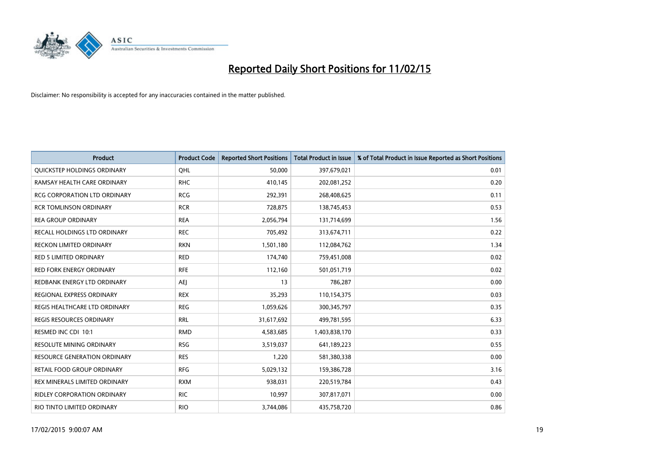

| <b>Product</b>                      | <b>Product Code</b> | <b>Reported Short Positions</b> | <b>Total Product in Issue</b> | % of Total Product in Issue Reported as Short Positions |
|-------------------------------------|---------------------|---------------------------------|-------------------------------|---------------------------------------------------------|
| QUICKSTEP HOLDINGS ORDINARY         | OHL                 | 50,000                          | 397,679,021                   | 0.01                                                    |
| RAMSAY HEALTH CARE ORDINARY         | <b>RHC</b>          | 410,145                         | 202,081,252                   | 0.20                                                    |
| <b>RCG CORPORATION LTD ORDINARY</b> | <b>RCG</b>          | 292,391                         | 268,408,625                   | 0.11                                                    |
| <b>RCR TOMLINSON ORDINARY</b>       | <b>RCR</b>          | 728,875                         | 138,745,453                   | 0.53                                                    |
| <b>REA GROUP ORDINARY</b>           | <b>REA</b>          | 2,056,794                       | 131,714,699                   | 1.56                                                    |
| RECALL HOLDINGS LTD ORDINARY        | <b>REC</b>          | 705,492                         | 313,674,711                   | 0.22                                                    |
| <b>RECKON LIMITED ORDINARY</b>      | <b>RKN</b>          | 1,501,180                       | 112,084,762                   | 1.34                                                    |
| RED 5 LIMITED ORDINARY              | <b>RED</b>          | 174,740                         | 759,451,008                   | 0.02                                                    |
| <b>RED FORK ENERGY ORDINARY</b>     | <b>RFE</b>          | 112,160                         | 501,051,719                   | 0.02                                                    |
| REDBANK ENERGY LTD ORDINARY         | AEJ                 | 13                              | 786,287                       | 0.00                                                    |
| REGIONAL EXPRESS ORDINARY           | <b>REX</b>          | 35,293                          | 110,154,375                   | 0.03                                                    |
| REGIS HEALTHCARE LTD ORDINARY       | <b>REG</b>          | 1,059,626                       | 300, 345, 797                 | 0.35                                                    |
| REGIS RESOURCES ORDINARY            | <b>RRL</b>          | 31,617,692                      | 499,781,595                   | 6.33                                                    |
| RESMED INC CDI 10:1                 | <b>RMD</b>          | 4,583,685                       | 1,403,838,170                 | 0.33                                                    |
| <b>RESOLUTE MINING ORDINARY</b>     | <b>RSG</b>          | 3,519,037                       | 641,189,223                   | 0.55                                                    |
| <b>RESOURCE GENERATION ORDINARY</b> | <b>RES</b>          | 1,220                           | 581,380,338                   | 0.00                                                    |
| RETAIL FOOD GROUP ORDINARY          | <b>RFG</b>          | 5,029,132                       | 159,386,728                   | 3.16                                                    |
| REX MINERALS LIMITED ORDINARY       | <b>RXM</b>          | 938,031                         | 220,519,784                   | 0.43                                                    |
| <b>RIDLEY CORPORATION ORDINARY</b>  | <b>RIC</b>          | 10,997                          | 307,817,071                   | 0.00                                                    |
| RIO TINTO LIMITED ORDINARY          | <b>RIO</b>          | 3,744,086                       | 435,758,720                   | 0.86                                                    |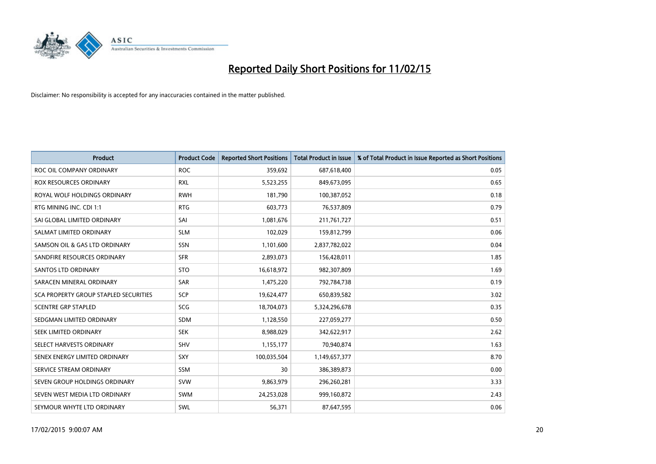

| <b>Product</b>                        | <b>Product Code</b> | <b>Reported Short Positions</b> | <b>Total Product in Issue</b> | % of Total Product in Issue Reported as Short Positions |
|---------------------------------------|---------------------|---------------------------------|-------------------------------|---------------------------------------------------------|
| ROC OIL COMPANY ORDINARY              | <b>ROC</b>          | 359,692                         | 687,618,400                   | 0.05                                                    |
| <b>ROX RESOURCES ORDINARY</b>         | <b>RXL</b>          | 5,523,255                       | 849,673,095                   | 0.65                                                    |
| ROYAL WOLF HOLDINGS ORDINARY          | <b>RWH</b>          | 181,790                         | 100,387,052                   | 0.18                                                    |
| RTG MINING INC. CDI 1:1               | <b>RTG</b>          | 603,773                         | 76,537,809                    | 0.79                                                    |
| SAI GLOBAL LIMITED ORDINARY           | SAI                 | 1,081,676                       | 211,761,727                   | 0.51                                                    |
| SALMAT LIMITED ORDINARY               | <b>SLM</b>          | 102,029                         | 159,812,799                   | 0.06                                                    |
| SAMSON OIL & GAS LTD ORDINARY         | SSN                 | 1,101,600                       | 2,837,782,022                 | 0.04                                                    |
| SANDFIRE RESOURCES ORDINARY           | <b>SFR</b>          | 2,893,073                       | 156,428,011                   | 1.85                                                    |
| <b>SANTOS LTD ORDINARY</b>            | <b>STO</b>          | 16,618,972                      | 982,307,809                   | 1.69                                                    |
| SARACEN MINERAL ORDINARY              | SAR                 | 1,475,220                       | 792,784,738                   | 0.19                                                    |
| SCA PROPERTY GROUP STAPLED SECURITIES | <b>SCP</b>          | 19,624,477                      | 650,839,582                   | 3.02                                                    |
| <b>SCENTRE GRP STAPLED</b>            | <b>SCG</b>          | 18,704,073                      | 5,324,296,678                 | 0.35                                                    |
| SEDGMAN LIMITED ORDINARY              | SDM                 | 1,128,550                       | 227,059,277                   | 0.50                                                    |
| SEEK LIMITED ORDINARY                 | <b>SEK</b>          | 8,988,029                       | 342,622,917                   | 2.62                                                    |
| SELECT HARVESTS ORDINARY              | SHV                 | 1,155,177                       | 70,940,874                    | 1.63                                                    |
| SENEX ENERGY LIMITED ORDINARY         | <b>SXY</b>          | 100,035,504                     | 1,149,657,377                 | 8.70                                                    |
| SERVICE STREAM ORDINARY               | SSM                 | 30                              | 386,389,873                   | 0.00                                                    |
| SEVEN GROUP HOLDINGS ORDINARY         | <b>SVW</b>          | 9,863,979                       | 296,260,281                   | 3.33                                                    |
| SEVEN WEST MEDIA LTD ORDINARY         | <b>SWM</b>          | 24,253,028                      | 999,160,872                   | 2.43                                                    |
| SEYMOUR WHYTE LTD ORDINARY            | SWL                 | 56,371                          | 87,647,595                    | 0.06                                                    |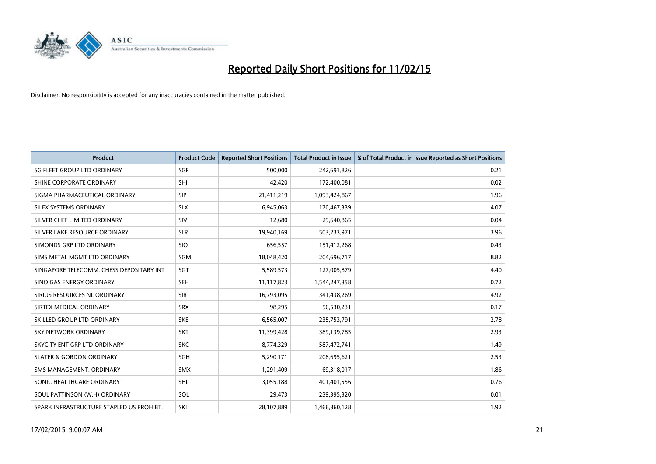

| <b>Product</b>                           | <b>Product Code</b> | <b>Reported Short Positions</b> | <b>Total Product in Issue</b> | % of Total Product in Issue Reported as Short Positions |
|------------------------------------------|---------------------|---------------------------------|-------------------------------|---------------------------------------------------------|
| SG FLEET GROUP LTD ORDINARY              | SGF                 | 500,000                         | 242,691,826                   | 0.21                                                    |
| SHINE CORPORATE ORDINARY                 | <b>SHI</b>          | 42,420                          | 172,400,081                   | 0.02                                                    |
| SIGMA PHARMACEUTICAL ORDINARY            | <b>SIP</b>          | 21,411,219                      | 1,093,424,867                 | 1.96                                                    |
| SILEX SYSTEMS ORDINARY                   | <b>SLX</b>          | 6,945,063                       | 170,467,339                   | 4.07                                                    |
| SILVER CHEF LIMITED ORDINARY             | SIV                 | 12,680                          | 29,640,865                    | 0.04                                                    |
| SILVER LAKE RESOURCE ORDINARY            | <b>SLR</b>          | 19,940,169                      | 503,233,971                   | 3.96                                                    |
| SIMONDS GRP LTD ORDINARY                 | <b>SIO</b>          | 656,557                         | 151,412,268                   | 0.43                                                    |
| SIMS METAL MGMT LTD ORDINARY             | SGM                 | 18,048,420                      | 204,696,717                   | 8.82                                                    |
| SINGAPORE TELECOMM. CHESS DEPOSITARY INT | SGT                 | 5,589,573                       | 127,005,879                   | 4.40                                                    |
| SINO GAS ENERGY ORDINARY                 | <b>SEH</b>          | 11,117,823                      | 1,544,247,358                 | 0.72                                                    |
| SIRIUS RESOURCES NL ORDINARY             | <b>SIR</b>          | 16,793,095                      | 341,438,269                   | 4.92                                                    |
| SIRTEX MEDICAL ORDINARY                  | <b>SRX</b>          | 98,295                          | 56,530,231                    | 0.17                                                    |
| SKILLED GROUP LTD ORDINARY               | <b>SKE</b>          | 6,565,007                       | 235,753,791                   | 2.78                                                    |
| <b>SKY NETWORK ORDINARY</b>              | <b>SKT</b>          | 11,399,428                      | 389,139,785                   | 2.93                                                    |
| SKYCITY ENT GRP LTD ORDINARY             | <b>SKC</b>          | 8,774,329                       | 587,472,741                   | 1.49                                                    |
| <b>SLATER &amp; GORDON ORDINARY</b>      | SGH                 | 5,290,171                       | 208,695,621                   | 2.53                                                    |
| SMS MANAGEMENT. ORDINARY                 | <b>SMX</b>          | 1,291,409                       | 69,318,017                    | 1.86                                                    |
| SONIC HEALTHCARE ORDINARY                | <b>SHL</b>          | 3,055,188                       | 401,401,556                   | 0.76                                                    |
| SOUL PATTINSON (W.H) ORDINARY            | SOL                 | 29,473                          | 239,395,320                   | 0.01                                                    |
| SPARK INFRASTRUCTURE STAPLED US PROHIBT. | SKI                 | 28,107,889                      | 1,466,360,128                 | 1.92                                                    |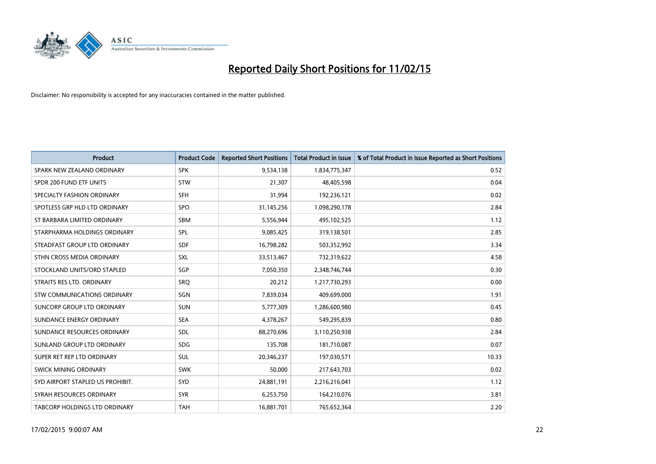

| <b>Product</b>                       | <b>Product Code</b> | <b>Reported Short Positions</b> | <b>Total Product in Issue</b> | % of Total Product in Issue Reported as Short Positions |
|--------------------------------------|---------------------|---------------------------------|-------------------------------|---------------------------------------------------------|
| SPARK NEW ZEALAND ORDINARY           | <b>SPK</b>          | 9,534,138                       | 1,834,775,347                 | 0.52                                                    |
| SPDR 200 FUND ETF UNITS              | <b>STW</b>          | 21,307                          | 48,405,598                    | 0.04                                                    |
| SPECIALTY FASHION ORDINARY           | <b>SFH</b>          | 31,994                          | 192,236,121                   | 0.02                                                    |
| SPOTLESS GRP HLD LTD ORDINARY        | <b>SPO</b>          | 31,145,256                      | 1,098,290,178                 | 2.84                                                    |
| ST BARBARA LIMITED ORDINARY          | <b>SBM</b>          | 5,556,944                       | 495,102,525                   | 1.12                                                    |
| STARPHARMA HOLDINGS ORDINARY         | SPL                 | 9,085,425                       | 319,138,501                   | 2.85                                                    |
| STEADFAST GROUP LTD ORDINARY         | SDF                 | 16,798,282                      | 503,352,992                   | 3.34                                                    |
| STHN CROSS MEDIA ORDINARY            | SXL                 | 33,513,467                      | 732,319,622                   | 4.58                                                    |
| STOCKLAND UNITS/ORD STAPLED          | SGP                 | 7,050,350                       | 2,348,746,744                 | 0.30                                                    |
| STRAITS RES LTD. ORDINARY            | <b>SRO</b>          | 20,212                          | 1,217,730,293                 | 0.00                                                    |
| STW COMMUNICATIONS ORDINARY          | SGN                 | 7,839,034                       | 409,699,000                   | 1.91                                                    |
| SUNCORP GROUP LTD ORDINARY           | <b>SUN</b>          | 5,777,309                       | 1,286,600,980                 | 0.45                                                    |
| SUNDANCE ENERGY ORDINARY             | <b>SEA</b>          | 4,378,267                       | 549,295,839                   | 0.80                                                    |
| SUNDANCE RESOURCES ORDINARY          | SDL                 | 88,270,696                      | 3,110,250,938                 | 2.84                                                    |
| SUNLAND GROUP LTD ORDINARY           | <b>SDG</b>          | 135,708                         | 181,710,087                   | 0.07                                                    |
| SUPER RET REP LTD ORDINARY           | SUL                 | 20,346,237                      | 197,030,571                   | 10.33                                                   |
| SWICK MINING ORDINARY                | <b>SWK</b>          | 50,000                          | 217,643,703                   | 0.02                                                    |
| SYD AIRPORT STAPLED US PROHIBIT.     | <b>SYD</b>          | 24,881,191                      | 2,216,216,041                 | 1.12                                                    |
| SYRAH RESOURCES ORDINARY             | <b>SYR</b>          | 6,253,750                       | 164,210,076                   | 3.81                                                    |
| <b>TABCORP HOLDINGS LTD ORDINARY</b> | <b>TAH</b>          | 16,881,701                      | 765,652,364                   | 2.20                                                    |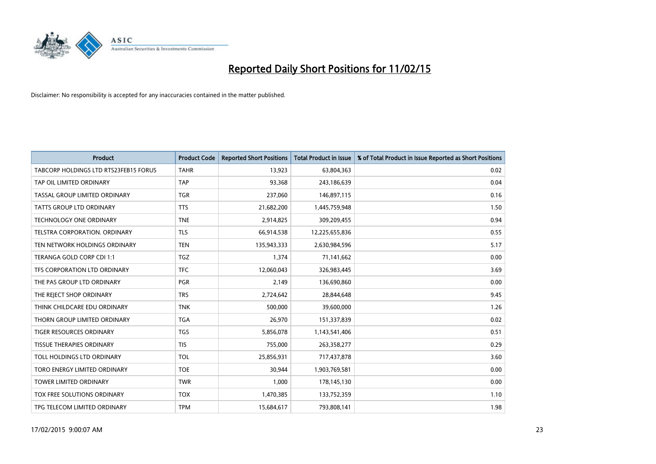

| <b>Product</b>                        | <b>Product Code</b> | <b>Reported Short Positions</b> | <b>Total Product in Issue</b> | % of Total Product in Issue Reported as Short Positions |
|---------------------------------------|---------------------|---------------------------------|-------------------------------|---------------------------------------------------------|
| TABCORP HOLDINGS LTD RTS23FEB15 FORUS | <b>TAHR</b>         | 13,923                          | 63,804,363                    | 0.02                                                    |
| TAP OIL LIMITED ORDINARY              | <b>TAP</b>          | 93,368                          | 243,186,639                   | 0.04                                                    |
| TASSAL GROUP LIMITED ORDINARY         | <b>TGR</b>          | 237,060                         | 146,897,115                   | 0.16                                                    |
| <b>TATTS GROUP LTD ORDINARY</b>       | <b>TTS</b>          | 21,682,200                      | 1,445,759,948                 | 1.50                                                    |
| <b>TECHNOLOGY ONE ORDINARY</b>        | <b>TNE</b>          | 2,914,825                       | 309,209,455                   | 0.94                                                    |
| TELSTRA CORPORATION, ORDINARY         | <b>TLS</b>          | 66,914,538                      | 12,225,655,836                | 0.55                                                    |
| TEN NETWORK HOLDINGS ORDINARY         | <b>TEN</b>          | 135,943,333                     | 2,630,984,596                 | 5.17                                                    |
| TERANGA GOLD CORP CDI 1:1             | <b>TGZ</b>          | 1,374                           | 71,141,662                    | 0.00                                                    |
| TFS CORPORATION LTD ORDINARY          | <b>TFC</b>          | 12,060,043                      | 326,983,445                   | 3.69                                                    |
| THE PAS GROUP LTD ORDINARY            | <b>PGR</b>          | 2,149                           | 136,690,860                   | 0.00                                                    |
| THE REJECT SHOP ORDINARY              | <b>TRS</b>          | 2,724,642                       | 28,844,648                    | 9.45                                                    |
| THINK CHILDCARE EDU ORDINARY          | <b>TNK</b>          | 500,000                         | 39,600,000                    | 1.26                                                    |
| THORN GROUP LIMITED ORDINARY          | <b>TGA</b>          | 26,970                          | 151,337,839                   | 0.02                                                    |
| <b>TIGER RESOURCES ORDINARY</b>       | <b>TGS</b>          | 5,856,078                       | 1,143,541,406                 | 0.51                                                    |
| <b>TISSUE THERAPIES ORDINARY</b>      | <b>TIS</b>          | 755,000                         | 263,358,277                   | 0.29                                                    |
| TOLL HOLDINGS LTD ORDINARY            | <b>TOL</b>          | 25,856,931                      | 717,437,878                   | 3.60                                                    |
| TORO ENERGY LIMITED ORDINARY          | <b>TOE</b>          | 30,944                          | 1,903,769,581                 | 0.00                                                    |
| <b>TOWER LIMITED ORDINARY</b>         | <b>TWR</b>          | 1,000                           | 178,145,130                   | 0.00                                                    |
| TOX FREE SOLUTIONS ORDINARY           | <b>TOX</b>          | 1,470,385                       | 133,752,359                   | 1.10                                                    |
| TPG TELECOM LIMITED ORDINARY          | <b>TPM</b>          | 15,684,617                      | 793,808,141                   | 1.98                                                    |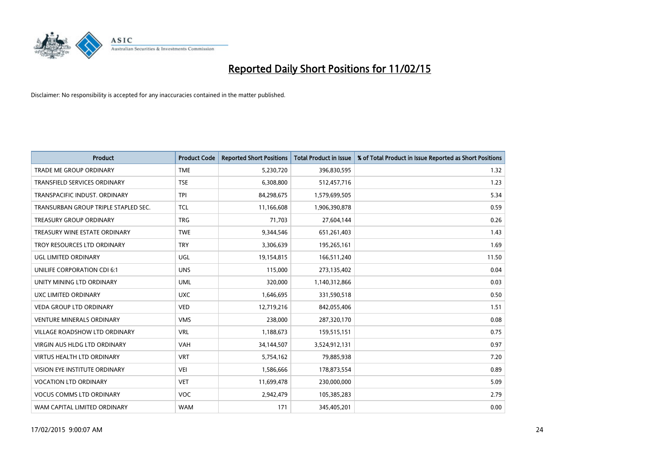

| <b>Product</b>                       | <b>Product Code</b> | <b>Reported Short Positions</b> | <b>Total Product in Issue</b> | % of Total Product in Issue Reported as Short Positions |
|--------------------------------------|---------------------|---------------------------------|-------------------------------|---------------------------------------------------------|
| <b>TRADE ME GROUP ORDINARY</b>       | <b>TME</b>          | 5,230,720                       | 396,830,595                   | 1.32                                                    |
| TRANSFIELD SERVICES ORDINARY         | <b>TSE</b>          | 6,308,800                       | 512,457,716                   | 1.23                                                    |
| TRANSPACIFIC INDUST, ORDINARY        | <b>TPI</b>          | 84,298,675                      | 1,579,699,505                 | 5.34                                                    |
| TRANSURBAN GROUP TRIPLE STAPLED SEC. | <b>TCL</b>          | 11,166,608                      | 1,906,390,878                 | 0.59                                                    |
| <b>TREASURY GROUP ORDINARY</b>       | <b>TRG</b>          | 71,703                          | 27,604,144                    | 0.26                                                    |
| TREASURY WINE ESTATE ORDINARY        | <b>TWE</b>          | 9,344,546                       | 651,261,403                   | 1.43                                                    |
| TROY RESOURCES LTD ORDINARY          | <b>TRY</b>          | 3,306,639                       | 195,265,161                   | 1.69                                                    |
| UGL LIMITED ORDINARY                 | UGL                 | 19,154,815                      | 166,511,240                   | 11.50                                                   |
| UNILIFE CORPORATION CDI 6:1          | <b>UNS</b>          | 115,000                         | 273,135,402                   | 0.04                                                    |
| UNITY MINING LTD ORDINARY            | <b>UML</b>          | 320,000                         | 1,140,312,866                 | 0.03                                                    |
| UXC LIMITED ORDINARY                 | <b>UXC</b>          | 1,646,695                       | 331,590,518                   | 0.50                                                    |
| <b>VEDA GROUP LTD ORDINARY</b>       | <b>VED</b>          | 12,719,216                      | 842,055,406                   | 1.51                                                    |
| <b>VENTURE MINERALS ORDINARY</b>     | <b>VMS</b>          | 238,000                         | 287,320,170                   | 0.08                                                    |
| <b>VILLAGE ROADSHOW LTD ORDINARY</b> | <b>VRL</b>          | 1,188,673                       | 159,515,151                   | 0.75                                                    |
| <b>VIRGIN AUS HLDG LTD ORDINARY</b>  | <b>VAH</b>          | 34,144,507                      | 3,524,912,131                 | 0.97                                                    |
| VIRTUS HEALTH LTD ORDINARY           | <b>VRT</b>          | 5,754,162                       | 79,885,938                    | 7.20                                                    |
| VISION EYE INSTITUTE ORDINARY        | <b>VEI</b>          | 1,586,666                       | 178,873,554                   | 0.89                                                    |
| <b>VOCATION LTD ORDINARY</b>         | <b>VET</b>          | 11,699,478                      | 230,000,000                   | 5.09                                                    |
| <b>VOCUS COMMS LTD ORDINARY</b>      | <b>VOC</b>          | 2,942,479                       | 105,385,283                   | 2.79                                                    |
| WAM CAPITAL LIMITED ORDINARY         | <b>WAM</b>          | 171                             | 345,405,201                   | 0.00                                                    |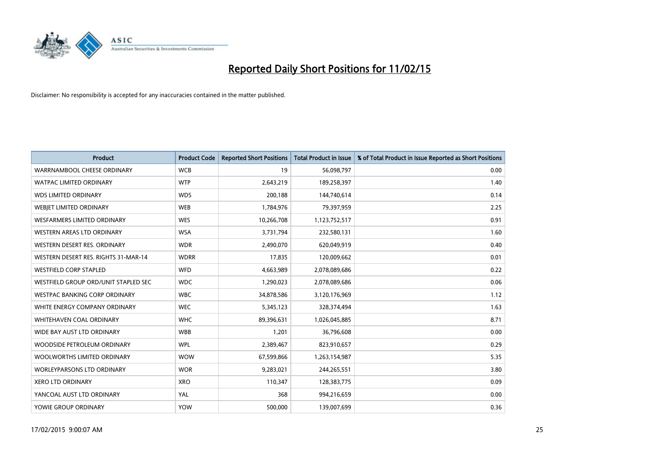

| <b>Product</b>                       | <b>Product Code</b> | <b>Reported Short Positions</b> | <b>Total Product in Issue</b> | % of Total Product in Issue Reported as Short Positions |
|--------------------------------------|---------------------|---------------------------------|-------------------------------|---------------------------------------------------------|
| WARRNAMBOOL CHEESE ORDINARY          | <b>WCB</b>          | 19                              | 56,098,797                    | 0.00                                                    |
| <b>WATPAC LIMITED ORDINARY</b>       | <b>WTP</b>          | 2,643,219                       | 189,258,397                   | 1.40                                                    |
| <b>WDS LIMITED ORDINARY</b>          | <b>WDS</b>          | 200,188                         | 144,740,614                   | 0.14                                                    |
| WEBIET LIMITED ORDINARY              | <b>WEB</b>          | 1,784,976                       | 79,397,959                    | 2.25                                                    |
| <b>WESFARMERS LIMITED ORDINARY</b>   | <b>WES</b>          | 10,266,708                      | 1,123,752,517                 | 0.91                                                    |
| <b>WESTERN AREAS LTD ORDINARY</b>    | <b>WSA</b>          | 3,731,794                       | 232,580,131                   | 1.60                                                    |
| WESTERN DESERT RES. ORDINARY         | <b>WDR</b>          | 2,490,070                       | 620,049,919                   | 0.40                                                    |
| WESTERN DESERT RES. RIGHTS 31-MAR-14 | <b>WDRR</b>         | 17,835                          | 120,009,662                   | 0.01                                                    |
| <b>WESTFIELD CORP STAPLED</b>        | WFD                 | 4,663,989                       | 2,078,089,686                 | 0.22                                                    |
| WESTFIELD GROUP ORD/UNIT STAPLED SEC | <b>WDC</b>          | 1,290,023                       | 2,078,089,686                 | 0.06                                                    |
| WESTPAC BANKING CORP ORDINARY        | <b>WBC</b>          | 34,878,586                      | 3,120,176,969                 | 1.12                                                    |
| WHITE ENERGY COMPANY ORDINARY        | <b>WEC</b>          | 5,345,123                       | 328,374,494                   | 1.63                                                    |
| WHITEHAVEN COAL ORDINARY             | <b>WHC</b>          | 89,396,631                      | 1,026,045,885                 | 8.71                                                    |
| WIDE BAY AUST LTD ORDINARY           | <b>WBB</b>          | 1,201                           | 36,796,608                    | 0.00                                                    |
| WOODSIDE PETROLEUM ORDINARY          | <b>WPL</b>          | 2,389,467                       | 823,910,657                   | 0.29                                                    |
| WOOLWORTHS LIMITED ORDINARY          | <b>WOW</b>          | 67,599,866                      | 1,263,154,987                 | 5.35                                                    |
| <b>WORLEYPARSONS LTD ORDINARY</b>    | <b>WOR</b>          | 9,283,021                       | 244,265,551                   | 3.80                                                    |
| <b>XERO LTD ORDINARY</b>             | <b>XRO</b>          | 110,347                         | 128,383,775                   | 0.09                                                    |
| YANCOAL AUST LTD ORDINARY            | <b>YAL</b>          | 368                             | 994,216,659                   | 0.00                                                    |
| YOWIE GROUP ORDINARY                 | <b>YOW</b>          | 500,000                         | 139,007,699                   | 0.36                                                    |